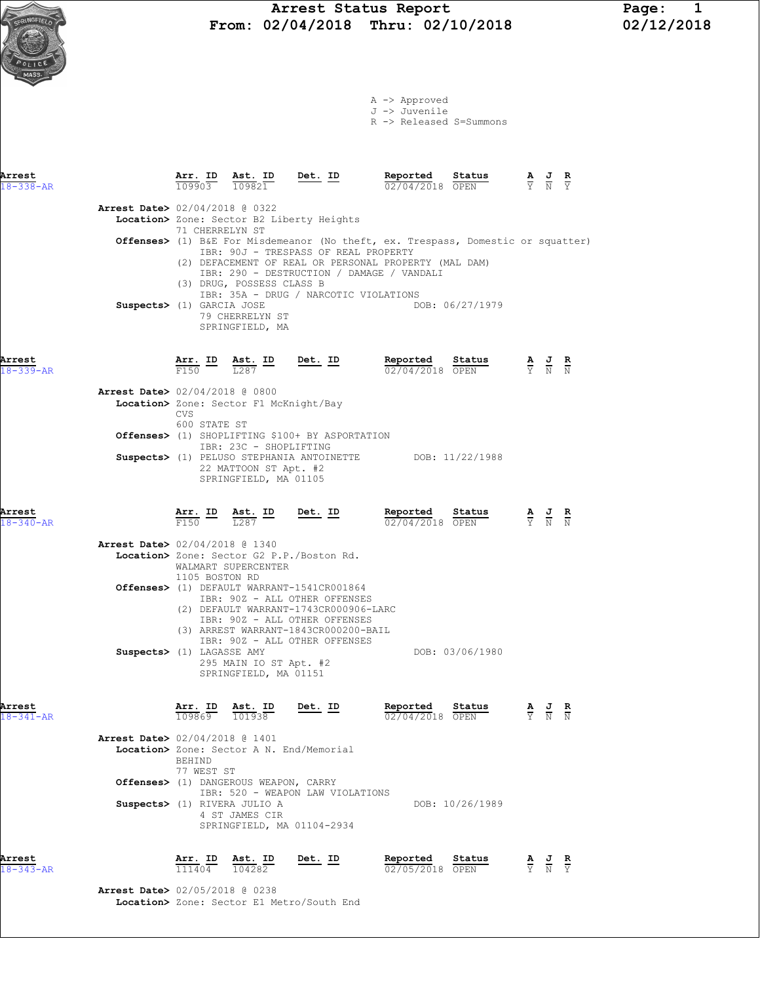Arrest Status Report Page: 1<br>02/04/2018 Thru: 02/10/2018 02/12/2018 From: 02/04/2018 Thru: 02/10/2018

A -> Approved J -> Juvenile R -> Released S=Summons

| Arrest<br>$18 - 338 - AR$ | Arr. ID<br>109903                            | Ast. ID<br>109821                                                                                           | Det. ID                                                                                                                                                                                                                                                                                                                        | Reported<br>02/04/2018 OPEN   | Status          |                                                                 | $\frac{\mathbf{A}}{\mathbf{Y}}$ $\frac{\mathbf{J}}{\mathbf{N}}$                                       |               |
|---------------------------|----------------------------------------------|-------------------------------------------------------------------------------------------------------------|--------------------------------------------------------------------------------------------------------------------------------------------------------------------------------------------------------------------------------------------------------------------------------------------------------------------------------|-------------------------------|-----------------|-----------------------------------------------------------------|-------------------------------------------------------------------------------------------------------|---------------|
|                           | 71 CHERRELYN ST<br>Suspects> (1) GARCIA JOSE | <b>Arrest Date&gt;</b> 02/04/2018 @ 0322<br>(3) DRUG, POSSESS CLASS B<br>79 CHERRELYN ST<br>SPRINGFIELD, MA | Location> Zone: Sector B2 Liberty Heights<br><b>Offenses&gt;</b> (1) B&E For Misdemeanor (No theft, ex. Trespass, Domestic or squatter)<br>IBR: 90J - TRESPASS OF REAL PROPERTY<br>(2) DEFACEMENT OF REAL OR PERSONAL PROPERTY (MAL DAM)<br>IBR: 290 - DESTRUCTION / DAMAGE / VANDALI<br>IBR: 35A - DRUG / NARCOTIC VIOLATIONS |                               | DOB: 06/27/1979 |                                                                 |                                                                                                       |               |
| Arrest<br>$18 - 339 - AR$ | Arr. ID<br>F150                              | Ast. ID<br>T.287                                                                                            | <u>Det.</u> ID                                                                                                                                                                                                                                                                                                                 | Reported<br>02/04/2018 OPEN   | Status          |                                                                 | $\frac{\mathbf{A}}{\overline{Y}}$ $\frac{\mathbf{J}}{\overline{N}}$ $\frac{\mathbf{R}}{\overline{N}}$ |               |
|                           | <b>CVS</b><br>600 STATE ST                   | <b>Arrest Date&gt;</b> 02/04/2018 @ 0800<br>Location> Zone: Sector F1 McKnight/Bay                          |                                                                                                                                                                                                                                                                                                                                |                               |                 |                                                                 |                                                                                                       |               |
|                           |                                              | IBR: 23C - SHOPLIFTING<br>22 MATTOON ST Apt. #2<br>SPRINGFIELD, MA 01105                                    | Offenses> (1) SHOPLIFTING \$100+ BY ASPORTATION<br>Suspects> (1) PELUSO STEPHANIA ANTOINETTE DOB: 11/22/1988                                                                                                                                                                                                                   |                               |                 |                                                                 |                                                                                                       |               |
| Arrest<br>$18 - 340 - AR$ | $\frac{\text{Arr.}}{\text{F150}}$ ID         | $\frac{\texttt{Ast.}}{\frac{7007}{4}}$<br>$\overline{1.287}$                                                | $Det.$ ID                                                                                                                                                                                                                                                                                                                      | Reported<br>02/04/2018 OPEN   | Status          |                                                                 | $\frac{\mathbf{A}}{\mathbf{Y}}$ $\frac{\mathbf{J}}{\mathbf{N}}$                                       | $\frac{R}{N}$ |
|                           | 1105 BOSTON RD                               | <b>Arrest Date&gt;</b> 02/04/2018 @ 1340<br>WALMART SUPERCENTER                                             | Location> Zone: Sector G2 P.P./Boston Rd.<br>Offenses> (1) DEFAULT WARRANT-1541CR001864<br>IBR: 90Z - ALL OTHER OFFENSES<br>(2) DEFAULT WARRANT-1743CR000906-LARC<br>IBR: 90Z - ALL OTHER OFFENSES                                                                                                                             |                               |                 |                                                                 |                                                                                                       |               |
|                           | Suspects> (1) LAGASSE AMY                    | 295 MAIN IO ST Apt. #2<br>SPRINGFIELD, MA 01151                                                             | (3) ARREST WARRANT-1843CR000200-BAIL<br>IBR: 90Z - ALL OTHER OFFENSES                                                                                                                                                                                                                                                          |                               | DOB: 03/06/1980 |                                                                 |                                                                                                       |               |
| Arrest<br>$18 - 341 - AR$ | Arr. ID<br>109869                            | Ast. ID<br>101938<br>Arrest Date> 02/04/2018 @ 1401                                                         | Det. ID                                                                                                                                                                                                                                                                                                                        | Reported<br>$02/04/2018$ OPEN | Status          | $\frac{\mathbf{A}}{\mathbf{Y}}$ $\frac{\mathbf{J}}{\mathbf{N}}$ |                                                                                                       |               |
|                           | BEHIND<br>77 WEST ST                         | Offenses> (1) DANGEROUS WEAPON, CARRY                                                                       | Location> Zone: Sector A N. End/Memorial                                                                                                                                                                                                                                                                                       |                               |                 |                                                                 |                                                                                                       |               |
|                           |                                              | Suspects> (1) RIVERA JULIO A<br>4 ST JAMES CIR<br>SPRINGFIELD, MA 01104-2934                                | IBR: 520 - WEAPON LAW VIOLATIONS                                                                                                                                                                                                                                                                                               |                               | DOB: 10/26/1989 |                                                                 |                                                                                                       |               |
| Arrest<br>$18 - 343 - AR$ | Arr. ID<br>111404                            | Ast. ID<br>104282                                                                                           | Det. ID                                                                                                                                                                                                                                                                                                                        | Reported<br>02/05/2018 OPEN   | Status          |                                                                 | $\frac{\mathbf{A}}{\mathbf{Y}}$ $\frac{\mathbf{J}}{\mathbf{N}}$ $\frac{\mathbf{R}}{\mathbf{Y}}$       |               |

 Arrest Date> 02/05/2018 @ 0238 Location> Zone: Sector E1 Metro/South End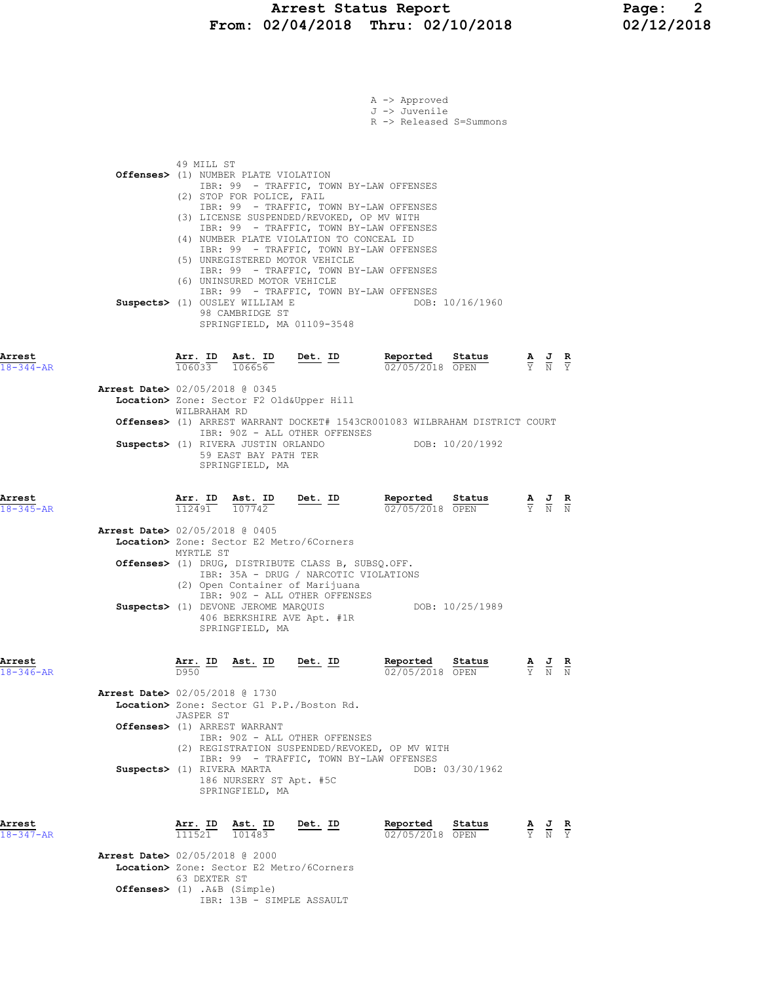## Arrest Status Report Page: 2 From: 02/04/2018 Thru: 02/10/2018 02/12/2018

|                           |                                          |                          |                                                                                  |                                                                                                                                                                 | A -> Approved<br>J -> Juvenile<br>R -> Released S=Summons                                                                     |                 |                                                                                                 |  |
|---------------------------|------------------------------------------|--------------------------|----------------------------------------------------------------------------------|-----------------------------------------------------------------------------------------------------------------------------------------------------------------|-------------------------------------------------------------------------------------------------------------------------------|-----------------|-------------------------------------------------------------------------------------------------|--|
|                           |                                          | 49 MILL ST               | Offenses> (1) NUMBER PLATE VIOLATION<br>(2) STOP FOR POLICE, FAIL                | (3) LICENSE SUSPENDED/REVOKED, OP MV WITH                                                                                                                       | IBR: 99 - TRAFFIC, TOWN BY-LAW OFFENSES<br>IBR: 99 - TRAFFIC, TOWN BY-LAW OFFENSES<br>IBR: 99 - TRAFFIC, TOWN BY-LAW OFFENSES |                 |                                                                                                 |  |
|                           |                                          |                          | (6) UNINSURED MOTOR VEHICLE<br>Suspects> (1) OUSLEY WILLIAM E<br>98 CAMBRIDGE ST | (4) NUMBER PLATE VIOLATION TO CONCEAL ID<br>(5) UNREGISTERED MOTOR VEHICLE<br>SPRINGFIELD, MA 01109-3548                                                        | IBR: 99 - TRAFFIC, TOWN BY-LAW OFFENSES<br>IBR: 99 - TRAFFIC, TOWN BY-LAW OFFENSES<br>IBR: 99 - TRAFFIC, TOWN BY-LAW OFFENSES | DOB: 10/16/1960 |                                                                                                 |  |
| Arrest<br>$18 - 344 - AR$ |                                          | Arr. ID<br>106033 106656 | Ast. ID                                                                          | Det. ID                                                                                                                                                         | Reported Status<br>02/05/2018 OPEN                                                                                            |                 | $\frac{\mathbf{A}}{\mathbf{Y}}$ $\frac{\mathbf{J}}{\mathbf{N}}$ $\frac{\mathbf{R}}{\mathbf{Y}}$ |  |
|                           | <b>Arrest Date&gt;</b> 02/05/2018 @ 0345 |                          |                                                                                  | Location> Zone: Sector F2 Old&Upper Hill                                                                                                                        |                                                                                                                               |                 |                                                                                                 |  |
|                           |                                          | WILBRAHAM RD             |                                                                                  |                                                                                                                                                                 | Offenses> (1) ARREST WARRANT DOCKET# 1543CR001083 WILBRAHAM DISTRICT COURT                                                    |                 |                                                                                                 |  |
|                           |                                          |                          | Suspects> (1) RIVERA JUSTIN ORLANDO<br>59 EAST BAY PATH TER<br>SPRINGFIELD, MA   | IBR: 90Z - ALL OTHER OFFENSES                                                                                                                                   | DOB: 10/20/1992                                                                                                               |                 |                                                                                                 |  |
| Arrest<br>$18 - 345 - AR$ |                                          | Arr. ID<br>112491        | 107742                                                                           | Ast. ID Det. ID                                                                                                                                                 | Reported<br>02/05/2018 OPEN                                                                                                   | Status          | $\frac{\mathbf{A}}{\mathbf{Y}}$ $\frac{\mathbf{J}}{\mathbf{N}}$ $\frac{\mathbf{R}}{\mathbf{N}}$ |  |
|                           | <b>Arrest Date&gt;</b> 02/05/2018 @ 0405 |                          |                                                                                  | Location> Zone: Sector E2 Metro/6Corners                                                                                                                        |                                                                                                                               |                 |                                                                                                 |  |
|                           |                                          | MYRTLE ST                |                                                                                  | Offenses> (1) DRUG, DISTRIBUTE CLASS B, SUBSQ.OFF.<br>IBR: 35A - DRUG / NARCOTIC VIOLATIONS<br>(2) Open Container of Marijuana<br>IBR: 90Z - ALL OTHER OFFENSES |                                                                                                                               |                 |                                                                                                 |  |
|                           |                                          |                          | Suspects> (1) DEVONE JEROME MARQUIS<br>SPRINGFIELD, MA                           | 406 BERKSHIRE AVE Apt. #1R                                                                                                                                      |                                                                                                                               | DOB: 10/25/1989 |                                                                                                 |  |
| Arrest<br>$18 - 346 - AR$ |                                          | <u>Arr. ID</u>           | Ast. ID Det. ID                                                                  |                                                                                                                                                                 | Reported<br>02/05/2018 OPEN                                                                                                   | Status          | $\frac{\mathbf{A}}{\mathbf{Y}}$ $\frac{\mathbf{J}}{\mathbf{N}}$ $\frac{\mathbf{R}}{\mathbf{N}}$ |  |
|                           | Arrest Date> 02/05/2018 @ 1730           |                          |                                                                                  | Location> Zone: Sector G1 P.P./Boston Rd.                                                                                                                       |                                                                                                                               |                 |                                                                                                 |  |
|                           | Offenses> (1) ARREST WARRANT             | <b>JASPER ST</b>         |                                                                                  |                                                                                                                                                                 |                                                                                                                               |                 |                                                                                                 |  |
|                           |                                          |                          |                                                                                  | IBR: 90Z - ALL OTHER OFFENSES                                                                                                                                   | (2) REGISTRATION SUSPENDED/REVOKED, OP MV WITH                                                                                |                 |                                                                                                 |  |
|                           | Suspects> (1) RIVERA MARTA               |                          | 186 NURSERY ST Apt. #5C<br>SPRINGFIELD, MA                                       |                                                                                                                                                                 | IBR: 99 - TRAFFIC, TOWN BY-LAW OFFENSES                                                                                       | DOB: 03/30/1962 |                                                                                                 |  |
| Arrest<br>18-347-AR       |                                          | Arr. ID                  | Ast. ID<br>101483                                                                | <u>Det. ID</u>                                                                                                                                                  | Reported<br>02/05/2018 OPEN                                                                                                   | Status          | $\frac{\mathbf{A}}{\mathbf{Y}}$ $\frac{\mathbf{J}}{\mathbf{N}}$ $\frac{\mathbf{R}}{\mathbf{Y}}$ |  |
|                           | <b>Arrest Date&gt;</b> 02/05/2018 @ 2000 |                          |                                                                                  | Location> Zone: Sector E2 Metro/6Corners                                                                                                                        |                                                                                                                               |                 |                                                                                                 |  |
|                           | Offenses> (1) .A&B (Simple)              | 63 DEXTER ST             |                                                                                  |                                                                                                                                                                 |                                                                                                                               |                 |                                                                                                 |  |
|                           |                                          |                          | IBR: 13B - SIMPLE ASSAULT                                                        |                                                                                                                                                                 |                                                                                                                               |                 |                                                                                                 |  |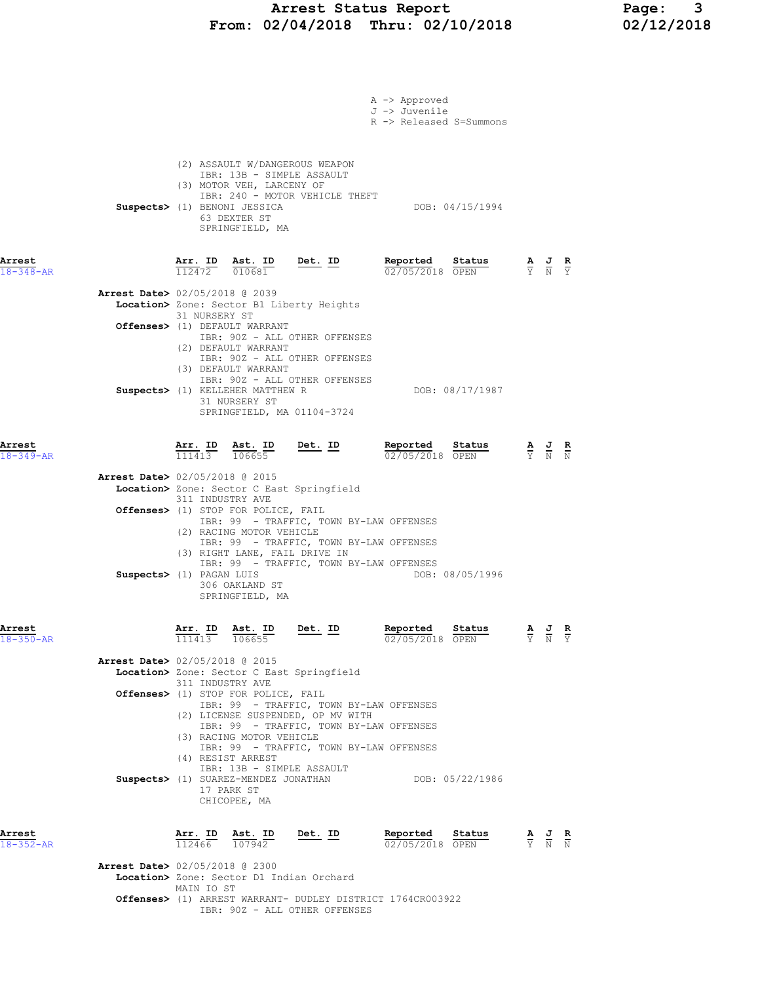## Arrest Status Report Page: 3 From: 02/04/2018 Thru: 02/10/2018 02/12/2018

|                           |                                          |                   |                                                                                                                           |                                                                                                                                                                    | A -> Approved |                           |                                                                 |                                                                                                 |                             |
|---------------------------|------------------------------------------|-------------------|---------------------------------------------------------------------------------------------------------------------------|--------------------------------------------------------------------------------------------------------------------------------------------------------------------|---------------|---------------------------|-----------------------------------------------------------------|-------------------------------------------------------------------------------------------------|-----------------------------|
|                           |                                          |                   |                                                                                                                           |                                                                                                                                                                    | J -> Juvenile | R -> Released S=Summons   |                                                                 |                                                                                                 |                             |
|                           |                                          |                   | IBR: 13B - SIMPLE ASSAULT<br>(3) MOTOR VEH, LARCENY OF<br>Suspects> (1) BENONI JESSICA<br>63 DEXTER ST<br>SPRINGFIELD, MA | (2) ASSAULT W/DANGEROUS WEAPON<br>IBR: 240 - MOTOR VEHICLE THEFT                                                                                                   |               | DOB: 04/15/1994           |                                                                 |                                                                                                 |                             |
| Arrest<br>$18 - 348 - AR$ |                                          |                   | Arr. ID Ast. ID<br>$112472$ $010681$                                                                                      | Det. ID                                                                                                                                                            | Reported      | Status<br>02/05/2018 OPEN |                                                                 | $\frac{\mathbf{A}}{\mathbf{Y}}$ $\frac{\mathbf{J}}{\mathbf{N}}$ $\frac{\mathbf{R}}{\mathbf{Y}}$ |                             |
|                           | <b>Arrest Date&gt;</b> 02/05/2018 @ 2039 | 31 NURSERY ST     |                                                                                                                           | Location> Zone: Sector B1 Liberty Heights                                                                                                                          |               |                           |                                                                 |                                                                                                 |                             |
|                           |                                          |                   | Offenses> (1) DEFAULT WARRANT<br>(2) DEFAULT WARRANT                                                                      | IBR: 90Z - ALL OTHER OFFENSES<br>IBR: 90Z - ALL OTHER OFFENSES                                                                                                     |               |                           |                                                                 |                                                                                                 |                             |
|                           |                                          |                   | (3) DEFAULT WARRANT<br>Suspects> (1) KELLEHER MATTHEW R<br>31 NURSERY ST                                                  | IBR: 90Z - ALL OTHER OFFENSES<br>SPRINGFIELD, MA 01104-3724                                                                                                        |               | DOB: 08/17/1987           |                                                                 |                                                                                                 |                             |
| Arrest<br>$18 - 349 - AR$ |                                          |                   | $\overline{111413}$ $\overline{106655}$                                                                                   | $\overline{\text{Arr.}}$ ID Ast. ID Det. ID                                                                                                                        | Reported      | Status<br>02/05/2018 OPEN |                                                                 | $\frac{\mathbf{A}}{\mathbf{Y}}$ $\frac{\mathbf{J}}{\mathbf{N}}$ $\frac{\mathbf{R}}{\mathbf{N}}$ |                             |
|                           | Arrest Date> 02/05/2018 @ 2015           | 311 INDUSTRY AVE  | Offenses> (1) STOP FOR POLICE, FAIL<br>(2) RACING MOTOR VEHICLE                                                           | Location> Zone: Sector C East Springfield<br>IBR: 99 - TRAFFIC, TOWN BY-LAW OFFENSES                                                                               |               |                           |                                                                 |                                                                                                 |                             |
|                           | Suspects> (1) PAGAN LUIS                 |                   | (3) RIGHT LANE, FAIL DRIVE IN<br>306 OAKLAND ST<br>SPRINGFIELD, MA                                                        | IBR: 99 - TRAFFIC, TOWN BY-LAW OFFENSES<br>IBR: 99 - TRAFFIC, TOWN BY-LAW OFFENSES                                                                                 |               | DOB: 08/05/1996           |                                                                 |                                                                                                 |                             |
| Arrest<br>$18 - 350 - AR$ |                                          | Arr. ID<br>111413 | Ast. ID<br>106655                                                                                                         | Det. ID                                                                                                                                                            | Reported      | Status<br>02/05/2018 OPEN | $\frac{\mathbf{A}}{\mathbf{Y}}$ $\frac{\mathbf{J}}{\mathbf{N}}$ |                                                                                                 | $rac{\mathbf{R}}{\Upsilon}$ |
|                           | Arrest Date> 02/05/2018 @ 2015           | 311 INDUSTRY AVE  |                                                                                                                           | Location> Zone: Sector C East Springfield                                                                                                                          |               |                           |                                                                 |                                                                                                 |                             |
|                           |                                          |                   | Offenses> (1) STOP FOR POLICE, FAIL<br>(3) RACING MOTOR VEHICLE                                                           | IBR: 99 - TRAFFIC, TOWN BY-LAW OFFENSES<br>(2) LICENSE SUSPENDED, OP MV WITH<br>IBR: 99 - TRAFFIC, TOWN BY-LAW OFFENSES<br>IBR: 99 - TRAFFIC, TOWN BY-LAW OFFENSES |               |                           |                                                                 |                                                                                                 |                             |
|                           |                                          |                   | (4) RESIST ARREST<br>IBR: 13B - SIMPLE ASSAULT<br>17 PARK ST<br>CHICOPEE, MA                                              | Suspects> (1) SUAREZ-MENDEZ JONATHAN                                                                                                                               |               | DOB: 05/22/1986           |                                                                 |                                                                                                 |                             |
| Arrest<br>$18 - 352 - AR$ |                                          | Arr. ID<br>112466 | Ast. ID<br>107942                                                                                                         | <u>Det. ID</u>                                                                                                                                                     | Reported      | Status<br>02/05/2018 OPEN |                                                                 | $\frac{\mathbf{A}}{\mathbf{Y}}$ $\frac{\mathbf{J}}{\mathbf{N}}$ $\frac{\mathbf{R}}{\mathbf{N}}$ |                             |
|                           | <b>Arrest Date&gt;</b> 02/05/2018 @ 2300 | MAIN IO ST        |                                                                                                                           | Location> Zone: Sector D1 Indian Orchard                                                                                                                           |               |                           |                                                                 |                                                                                                 |                             |
|                           |                                          |                   |                                                                                                                           | <b>Offenses&gt;</b> (1) ARREST WARRANT- DUDLEY DISTRICT 1764CR003922<br>IBR: 90Z - ALL OTHER OFFENSES                                                              |               |                           |                                                                 |                                                                                                 |                             |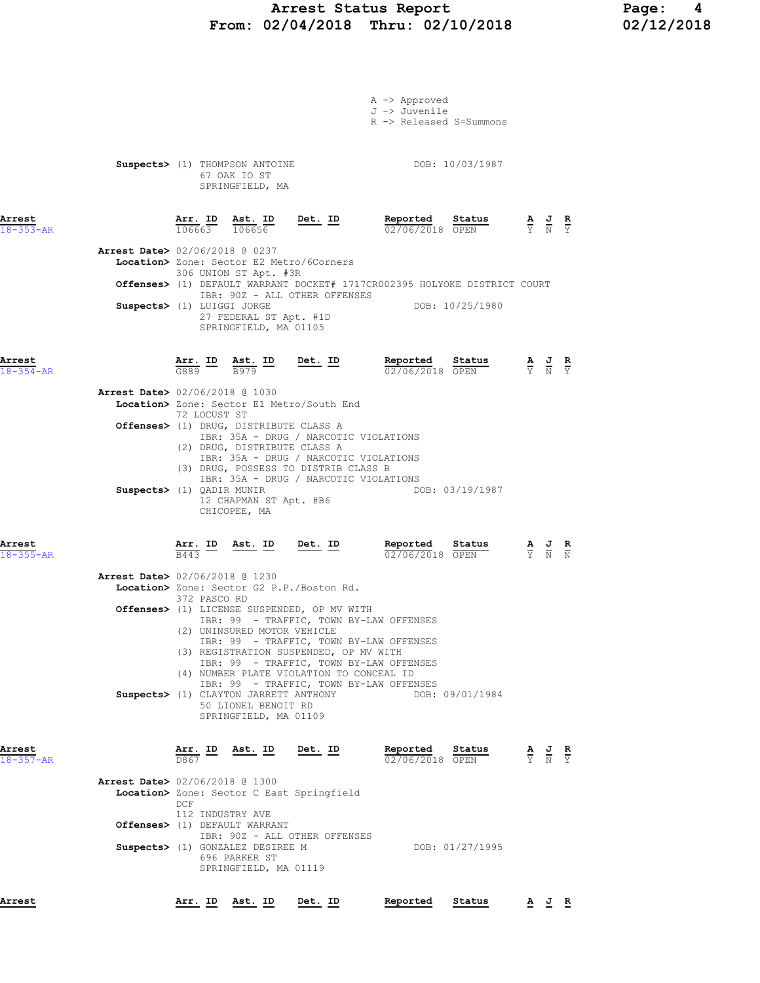## Arrest Status Report Page: 4 From: 02/04/2018 Thru: 02/10/2018 02/12/2018

|                           |                                          |                         |                                                  |                                                                                        | A -> Approved                                                                                                                                                                                                                                                                                                  |                 |                                                                                                 |                                                                                                 |  |
|---------------------------|------------------------------------------|-------------------------|--------------------------------------------------|----------------------------------------------------------------------------------------|----------------------------------------------------------------------------------------------------------------------------------------------------------------------------------------------------------------------------------------------------------------------------------------------------------------|-----------------|-------------------------------------------------------------------------------------------------|-------------------------------------------------------------------------------------------------|--|
|                           |                                          |                         |                                                  |                                                                                        | J -> Juvenile                                                                                                                                                                                                                                                                                                  |                 |                                                                                                 |                                                                                                 |  |
|                           |                                          |                         |                                                  |                                                                                        | R -> Released S=Summons                                                                                                                                                                                                                                                                                        |                 |                                                                                                 |                                                                                                 |  |
|                           |                                          |                         |                                                  |                                                                                        |                                                                                                                                                                                                                                                                                                                |                 |                                                                                                 |                                                                                                 |  |
|                           |                                          |                         | Suspects> (1) THOMPSON ANTOINE                   |                                                                                        | DOB: 10/03/1987                                                                                                                                                                                                                                                                                                |                 |                                                                                                 |                                                                                                 |  |
|                           |                                          |                         | 67 OAK IO ST                                     |                                                                                        |                                                                                                                                                                                                                                                                                                                |                 |                                                                                                 |                                                                                                 |  |
|                           |                                          |                         | SPRINGFIELD, MA                                  |                                                                                        |                                                                                                                                                                                                                                                                                                                |                 |                                                                                                 |                                                                                                 |  |
|                           |                                          |                         |                                                  |                                                                                        |                                                                                                                                                                                                                                                                                                                |                 |                                                                                                 |                                                                                                 |  |
| Arrest<br>$18 - 353 - AR$ |                                          |                         |                                                  | $\frac{\texttt{Arr. ID}}{106663}$ $\frac{\texttt{ Ast. ID}}{106656}$ Det. ID           | Reported Status<br>02/06/2018 OPEN                                                                                                                                                                                                                                                                             |                 |                                                                                                 | $\frac{\mathbf{A}}{\mathbf{Y}}$ $\frac{\mathbf{J}}{\mathbf{N}}$ $\frac{\mathbf{R}}{\mathbf{Y}}$ |  |
|                           |                                          |                         |                                                  |                                                                                        |                                                                                                                                                                                                                                                                                                                |                 |                                                                                                 |                                                                                                 |  |
|                           | Arrest Date> 02/06/2018 @ 0237           |                         |                                                  | Location> Zone: Sector E2 Metro/6Corners                                               |                                                                                                                                                                                                                                                                                                                |                 |                                                                                                 |                                                                                                 |  |
|                           |                                          |                         | 306 UNION ST Apt. #3R                            |                                                                                        |                                                                                                                                                                                                                                                                                                                |                 |                                                                                                 |                                                                                                 |  |
|                           |                                          |                         |                                                  | IBR: 90Z - ALL OTHER OFFENSES                                                          | Offenses> (1) DEFAULT WARRANT DOCKET# 1717CR002395 HOLYOKE DISTRICT COURT                                                                                                                                                                                                                                      |                 |                                                                                                 |                                                                                                 |  |
|                           | Suspects> (1) LUIGGI JORGE               |                         |                                                  |                                                                                        |                                                                                                                                                                                                                                                                                                                | DOB: 10/25/1980 |                                                                                                 |                                                                                                 |  |
|                           |                                          |                         | 27 FEDERAL ST Apt. #1D<br>SPRINGFIELD, MA 01105  |                                                                                        |                                                                                                                                                                                                                                                                                                                |                 |                                                                                                 |                                                                                                 |  |
|                           |                                          |                         |                                                  |                                                                                        |                                                                                                                                                                                                                                                                                                                |                 |                                                                                                 |                                                                                                 |  |
| Arrest                    |                                          |                         |                                                  |                                                                                        |                                                                                                                                                                                                                                                                                                                |                 |                                                                                                 |                                                                                                 |  |
| $18 - 354 - AR$           |                                          |                         |                                                  |                                                                                        | <b>Arr. ID</b> Ast. ID Det. ID Reported Status $\frac{1}{6889}$ $\frac{1}{12979}$ $\frac{1}{12979}$ $\frac{1}{1297}$ $\frac{1}{1297}$ $\frac{1}{1297}$ $\frac{1}{1297}$ $\frac{1}{1297}$ $\frac{1}{1297}$ $\frac{1}{1297}$ $\frac{1}{1297}$ $\frac{1}{1297}$ $\frac{1}{1297}$ $\frac{1}{12$<br>02/06/2018 OPEN |                 | $\frac{\mathbf{A}}{\mathbf{Y}}$ $\frac{\mathbf{J}}{\mathbf{N}}$ $\frac{\mathbf{R}}{\mathbf{Y}}$ |                                                                                                 |  |
|                           | <b>Arrest Date&gt;</b> 02/06/2018 @ 1030 |                         |                                                  |                                                                                        |                                                                                                                                                                                                                                                                                                                |                 |                                                                                                 |                                                                                                 |  |
|                           |                                          |                         |                                                  | Location> Zone: Sector E1 Metro/South End                                              |                                                                                                                                                                                                                                                                                                                |                 |                                                                                                 |                                                                                                 |  |
|                           |                                          | 72 LOCUST ST            | <b>Offenses&gt;</b> (1) DRUG, DISTRIBUTE CLASS A |                                                                                        |                                                                                                                                                                                                                                                                                                                |                 |                                                                                                 |                                                                                                 |  |
|                           |                                          |                         |                                                  | IBR: 35A - DRUG / NARCOTIC VIOLATIONS                                                  |                                                                                                                                                                                                                                                                                                                |                 |                                                                                                 |                                                                                                 |  |
|                           |                                          |                         | (2) DRUG, DISTRIBUTE CLASS A                     | IBR: 35A - DRUG / NARCOTIC VIOLATIONS                                                  |                                                                                                                                                                                                                                                                                                                |                 |                                                                                                 |                                                                                                 |  |
|                           |                                          |                         |                                                  | (3) DRUG, POSSESS TO DISTRIB CLASS B                                                   |                                                                                                                                                                                                                                                                                                                |                 |                                                                                                 |                                                                                                 |  |
|                           | Suspects> (1) QADIR MUNIR                |                         |                                                  | IBR: 35A - DRUG / NARCOTIC VIOLATIONS                                                  |                                                                                                                                                                                                                                                                                                                | DOB: 03/19/1987 |                                                                                                 |                                                                                                 |  |
|                           |                                          |                         | 12 CHAPMAN ST Apt. #B6                           |                                                                                        |                                                                                                                                                                                                                                                                                                                |                 |                                                                                                 |                                                                                                 |  |
|                           |                                          |                         | CHICOPEE, MA                                     |                                                                                        |                                                                                                                                                                                                                                                                                                                |                 |                                                                                                 |                                                                                                 |  |
|                           |                                          |                         |                                                  |                                                                                        |                                                                                                                                                                                                                                                                                                                |                 |                                                                                                 |                                                                                                 |  |
| Arrest<br>$18 - 355 - AR$ |                                          |                         |                                                  | $\frac{\texttt{Arr.}}{\texttt{B443}}$ ID Ast. ID Det. ID                               | Reported Status<br>02/06/2018 OPEN                                                                                                                                                                                                                                                                             |                 |                                                                                                 | $\frac{\mathbf{A}}{\mathbf{Y}}$ $\frac{\mathbf{J}}{\mathbf{N}}$ $\frac{\mathbf{R}}{\mathbf{N}}$ |  |
|                           |                                          |                         |                                                  |                                                                                        |                                                                                                                                                                                                                                                                                                                |                 |                                                                                                 |                                                                                                 |  |
|                           | <b>Arrest Date&gt;</b> 02/06/2018 @ 1230 |                         |                                                  | Location> Zone: Sector G2 P.P./Boston Rd.                                              |                                                                                                                                                                                                                                                                                                                |                 |                                                                                                 |                                                                                                 |  |
|                           |                                          | 372 PASCO RD            |                                                  |                                                                                        |                                                                                                                                                                                                                                                                                                                |                 |                                                                                                 |                                                                                                 |  |
|                           |                                          |                         |                                                  | Offenses> (1) LICENSE SUSPENDED, OP MV WITH<br>IBR: 99 - TRAFFIC, TOWN BY-LAW OFFENSES |                                                                                                                                                                                                                                                                                                                |                 |                                                                                                 |                                                                                                 |  |
|                           |                                          |                         | (2) UNINSURED MOTOR VEHICLE                      |                                                                                        |                                                                                                                                                                                                                                                                                                                |                 |                                                                                                 |                                                                                                 |  |
|                           |                                          |                         |                                                  | IBR: 99 - TRAFFIC, TOWN BY-LAW OFFENSES<br>(3) REGISTRATION SUSPENDED, OP MV WITH      |                                                                                                                                                                                                                                                                                                                |                 |                                                                                                 |                                                                                                 |  |
|                           |                                          |                         |                                                  | IBR: 99 - TRAFFIC, TOWN BY-LAW OFFENSES                                                |                                                                                                                                                                                                                                                                                                                |                 |                                                                                                 |                                                                                                 |  |
|                           |                                          |                         |                                                  | (4) NUMBER PLATE VIOLATION TO CONCEAL ID<br>IBR: 99 - TRAFFIC, TOWN BY-LAW OFFENSES    |                                                                                                                                                                                                                                                                                                                |                 |                                                                                                 |                                                                                                 |  |
|                           |                                          |                         | <b>Suspects&gt;</b> (1) CLAYTON JARRETT ANTHONY  |                                                                                        |                                                                                                                                                                                                                                                                                                                | DOB: 09/01/1984 |                                                                                                 |                                                                                                 |  |
|                           |                                          |                         | 50 LIONEL BENOIT RD<br>SPRINGFIELD, MA 01109     |                                                                                        |                                                                                                                                                                                                                                                                                                                |                 |                                                                                                 |                                                                                                 |  |
|                           |                                          |                         |                                                  |                                                                                        |                                                                                                                                                                                                                                                                                                                |                 |                                                                                                 |                                                                                                 |  |
| Arrest                    |                                          | Arr. ID                 | <u>Ast. ID</u>                                   | <u>Det.</u> ID                                                                         | Reported                                                                                                                                                                                                                                                                                                       | Status          |                                                                                                 |                                                                                                 |  |
| $18 - 357 - AR$           |                                          | D867                    |                                                  |                                                                                        | 02/06/2018 OPEN                                                                                                                                                                                                                                                                                                |                 |                                                                                                 | $\frac{\mathbf{A}}{\mathbf{Y}}$ $\frac{\mathbf{J}}{\mathbf{N}}$ $\frac{\mathbf{R}}{\mathbf{Y}}$ |  |
|                           | <b>Arrest Date&gt;</b> 02/06/2018 @ 1300 |                         |                                                  |                                                                                        |                                                                                                                                                                                                                                                                                                                |                 |                                                                                                 |                                                                                                 |  |
|                           |                                          |                         |                                                  | Location> Zone: Sector C East Springfield                                              |                                                                                                                                                                                                                                                                                                                |                 |                                                                                                 |                                                                                                 |  |
|                           |                                          | DCF<br>112 INDUSTRY AVE |                                                  |                                                                                        |                                                                                                                                                                                                                                                                                                                |                 |                                                                                                 |                                                                                                 |  |
|                           |                                          |                         | Offenses> (1) DEFAULT WARRANT                    |                                                                                        |                                                                                                                                                                                                                                                                                                                |                 |                                                                                                 |                                                                                                 |  |
|                           |                                          |                         | Suspects> (1) GONZALEZ DESIREE M                 | IBR: 90Z - ALL OTHER OFFENSES                                                          |                                                                                                                                                                                                                                                                                                                | DOB: 01/27/1995 |                                                                                                 |                                                                                                 |  |
|                           |                                          |                         | 696 PARKER ST                                    |                                                                                        |                                                                                                                                                                                                                                                                                                                |                 |                                                                                                 |                                                                                                 |  |
|                           |                                          |                         | SPRINGFIELD, MA 01119                            |                                                                                        |                                                                                                                                                                                                                                                                                                                |                 |                                                                                                 |                                                                                                 |  |

Arrest Arr. ID Ast. ID Det. ID Reported Status A J R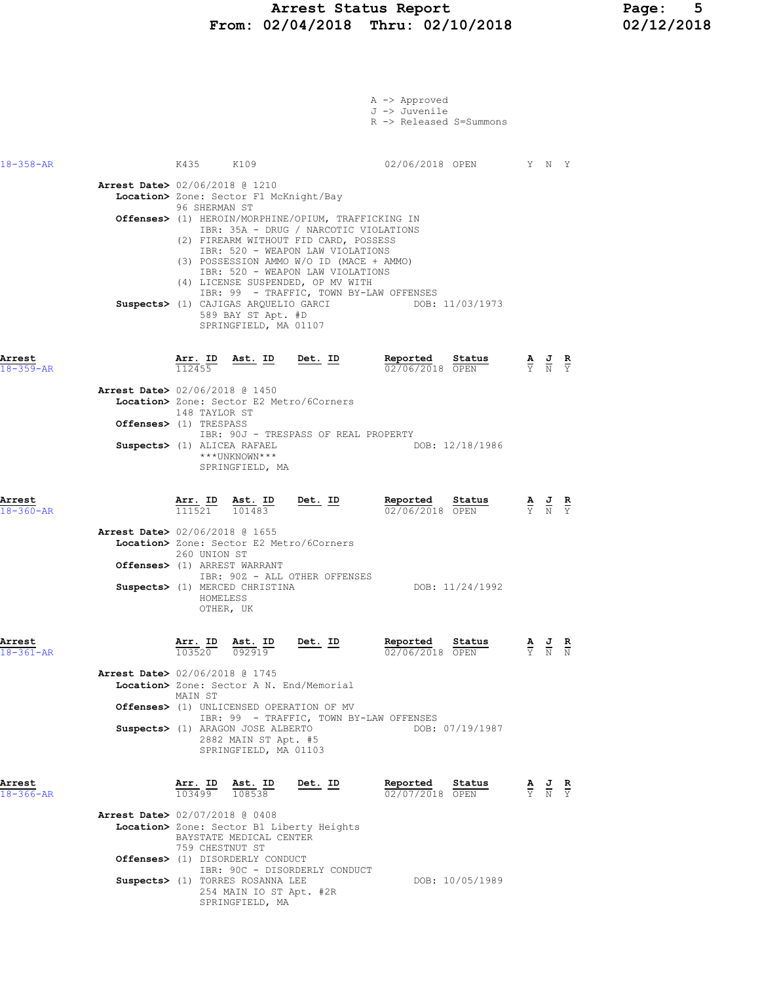### Arrest Status Report Page: 5 From: 02/04/2018 Thru: 02/10/2018 02/12/2018

|                           |                                                                                                                                                                                                                                                                                                                                  | A -> Approved<br>J -> Juvenile<br>R -> Released S=Summons |                                                                                                 |  |
|---------------------------|----------------------------------------------------------------------------------------------------------------------------------------------------------------------------------------------------------------------------------------------------------------------------------------------------------------------------------|-----------------------------------------------------------|-------------------------------------------------------------------------------------------------|--|
| $18 - 358 - AR$           | K435 K109                                                                                                                                                                                                                                                                                                                        | 02/06/2018 OPEN Y N Y                                     |                                                                                                 |  |
|                           | <b>Arrest Date&gt;</b> 02/06/2018 @ 1210<br>Location> Zone: Sector F1 McKnight/Bay<br>96 SHERMAN ST<br>Offenses> (1) HEROIN/MORPHINE/OPIUM, TRAFFICKING IN<br>IBR: 35A - DRUG / NARCOTIC VIOLATIONS                                                                                                                              |                                                           |                                                                                                 |  |
|                           | (2) FIREARM WITHOUT FID CARD, POSSESS<br>IBR: 520 - WEAPON LAW VIOLATIONS<br>(3) POSSESSION AMMO W/O ID (MACE + AMMO)<br>IBR: 520 - WEAPON LAW VIOLATIONS<br>(4) LICENSE SUSPENDED, OP MV WITH<br>IBR: 99 - TRAFFIC, TOWN BY-LAW OFFENSES<br>Suspects> (1) CAJIGAS ARQUELIO GARCI<br>589 BAY ST Apt. #D<br>SPRINGFIELD, MA 01107 | DOB: 11/03/1973                                           |                                                                                                 |  |
| Arrest<br>$18 - 359 - AR$ | Arr. ID<br>Ast. ID<br>Det. ID<br>112455                                                                                                                                                                                                                                                                                          | Reported<br>Status<br>02/06/2018 OPEN                     | $\frac{\mathbf{A}}{\mathbf{Y}}$ $\frac{\mathbf{J}}{\mathbf{N}}$ $\frac{\mathbf{R}}{\mathbf{Y}}$ |  |
|                           | <b>Arrest Date&gt;</b> 02/06/2018 @ 1450<br>Location> Zone: Sector E2 Metro/6Corners<br>148 TAYLOR ST                                                                                                                                                                                                                            |                                                           |                                                                                                 |  |
|                           | Offenses> (1) TRESPASS<br>IBR: 90J - TRESPASS OF REAL PROPERTY<br>Suspects> (1) ALICEA RAFAEL<br>***UNKNOWN***<br>SPRINGFIELD, MA                                                                                                                                                                                                | DOB: 12/18/1986                                           |                                                                                                 |  |
| Arrest<br>$18 - 360 - AR$ | Arr. ID Ast. ID<br><u>Det.</u> ID<br>111521<br>101483                                                                                                                                                                                                                                                                            | Reported<br>Status<br>02/06/2018 OPEN                     | $\frac{\mathbf{A}}{\mathbf{Y}}$ $\frac{\mathbf{J}}{\mathbf{N}}$ $\frac{\mathbf{R}}{\mathbf{Y}}$ |  |
|                           | <b>Arrest Date&gt;</b> 02/06/2018 @ 1655<br>Location> Zone: Sector E2 Metro/6Corners                                                                                                                                                                                                                                             |                                                           |                                                                                                 |  |
|                           | 260 UNION ST<br>Offenses> (1) ARREST WARRANT<br>IBR: 90Z - ALL OTHER OFFENSES                                                                                                                                                                                                                                                    |                                                           |                                                                                                 |  |
|                           | Suspects> (1) MERCED CHRISTINA<br>HOMELESS<br>OTHER, UK                                                                                                                                                                                                                                                                          | DOB: 11/24/1992                                           |                                                                                                 |  |
| Arrest<br>$18 - 361 - AR$ | Arr. ID<br>Ast. ID<br>Det. ID<br>103520<br>092919                                                                                                                                                                                                                                                                                | Status<br>Reported<br>02/06/2018 OPEN                     | $\underline{A}$ $\underline{J}$ $\underline{R}$<br>Y N N                                        |  |
|                           | <b>Arrest Date&gt;</b> 02/06/2018 @ 1745<br>Location> Zone: Sector A N. End/Memorial<br>MAIN ST                                                                                                                                                                                                                                  |                                                           |                                                                                                 |  |
|                           | <b>Offenses&gt;</b> (1) UNLICENSED OPERATION OF MV<br>IBR: 99 - TRAFFIC, TOWN BY-LAW OFFENSES<br>Suspects> (1) ARAGON JOSE ALBERTO<br>2882 MAIN ST Apt. #5<br>SPRINGFIELD, MA 01103                                                                                                                                              | DOB: 07/19/1987                                           |                                                                                                 |  |
| Arrest<br>$18 - 366 - AR$ | Arr. ID<br>Ast. ID<br>Det. ID<br>103499 108538                                                                                                                                                                                                                                                                                   | Reported<br>Status<br>02/07/2018 OPEN                     | $\frac{\mathbf{A}}{\mathbf{Y}}$ $\frac{\mathbf{J}}{\mathbf{N}}$ $\frac{\mathbf{R}}{\mathbf{Y}}$ |  |
|                           | <b>Arrest Date&gt; 02/07/2018 @ 0408</b><br>Location> Zone: Sector B1 Liberty Heights<br>BAYSTATE MEDICAL CENTER<br>759 CHESTNUT ST                                                                                                                                                                                              |                                                           |                                                                                                 |  |

Suspects> (1) TORRES ROSANNA LEE DOB: 10/05/1989 254 MAIN IO ST Apt. #2R SPRINGFIELD, MA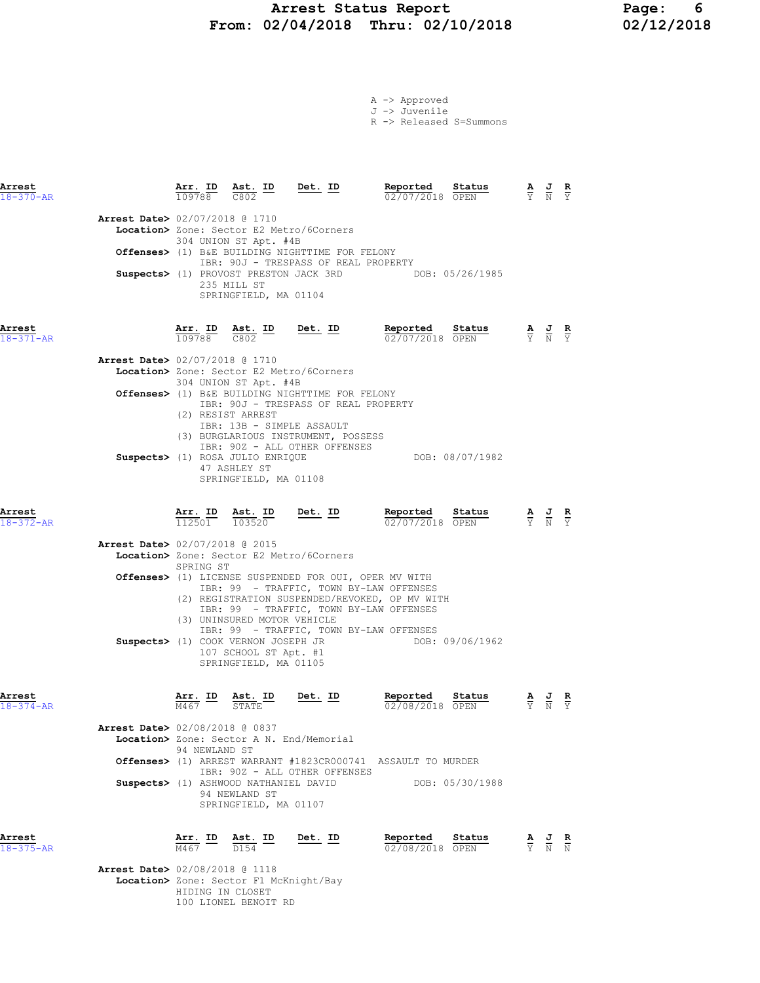# Arrest Status Report Page: 6 From:  $02/04/2018$  Thru:  $02/10/2018$

|  | $A \rightarrow$ Approved |                         |
|--|--------------------------|-------------------------|
|  | J -> Juvenile            |                         |
|  |                          | R -> Released S=Summons |

| Arrest<br>$18 - 370 - AR$      |                              | $\frac{\texttt{Arr. ID}}{109788}$ $\frac{\texttt{ Ast. ID}}{C802}$ Det. ID                                                                                |                                                                                                                                                                                                             | Reported<br>02/07/2018 OPEN                                                                                                                                                                                                              | Status                    |                                                                                                 | $\frac{\mathbf{A}}{\mathbf{Y}}$ $\frac{\mathbf{J}}{\mathbf{N}}$ $\frac{\mathbf{R}}{\mathbf{Y}}$ |                               |
|--------------------------------|------------------------------|-----------------------------------------------------------------------------------------------------------------------------------------------------------|-------------------------------------------------------------------------------------------------------------------------------------------------------------------------------------------------------------|------------------------------------------------------------------------------------------------------------------------------------------------------------------------------------------------------------------------------------------|---------------------------|-------------------------------------------------------------------------------------------------|-------------------------------------------------------------------------------------------------|-------------------------------|
| Arrest Date> 02/07/2018 @ 1710 |                              | 304 UNION ST Apt. #4B<br>235 MILL ST<br>SPRINGFIELD, MA 01104                                                                                             | Location> Zone: Sector E2 Metro/6Corners<br>Offenses> (1) B&E BUILDING NIGHTTIME FOR FELONY<br>IBR: 90J - TRESPASS OF REAL PROPERTY                                                                         | Suspects> (1) PROVOST PRESTON JACK 3RD DOB: 05/26/1985                                                                                                                                                                                   |                           |                                                                                                 |                                                                                                 |                               |
| Arrest<br>$18 - 371 - AR$      |                              | $\frac{\texttt{Arr. ID}}{109788}$ $\frac{\texttt{ Ast. ID}}{C802}$ $\frac{\texttt{Det. ID}}{C802}$                                                        |                                                                                                                                                                                                             | Reported<br>02/07/2018 OPEN                                                                                                                                                                                                              | Status                    | $\frac{\mathbf{A}}{\mathbf{Y}}$ $\frac{\mathbf{J}}{\mathbf{N}}$ $\frac{\mathbf{R}}{\mathbf{Y}}$ |                                                                                                 |                               |
| Arrest Date> 02/07/2018 @ 1710 |                              | 304 UNION ST Apt. #4B<br>(2) RESIST ARREST<br>IBR: 13B - SIMPLE ASSAULT                                                                                   | Location> Zone: Sector E2 Metro/6Corners<br>Offenses> (1) B&E BUILDING NIGHTTIME FOR FELONY<br>IBR: 90J - TRESPASS OF REAL PROPERTY<br>(3) BURGLARIOUS INSTRUMENT, POSSESS<br>IBR: 90Z - ALL OTHER OFFENSES |                                                                                                                                                                                                                                          |                           |                                                                                                 |                                                                                                 |                               |
| Arrest                         |                              | Suspects> (1) ROSA JULIO ENRIQUE<br>47 ASHLEY ST<br>SPRINGFIELD, MA 01108<br>$\frac{\texttt{Arr. ID}}{112501}$ $\frac{\texttt{ Ast. ID}}{103520}$ Det. ID |                                                                                                                                                                                                             | Reported                                                                                                                                                                                                                                 | DOB: 08/07/1982<br>Status |                                                                                                 | $\frac{\mathbf{A}}{\mathbf{Y}}$ $\frac{\mathbf{J}}{\mathbf{N}}$                                 | $rac{\mathbf{R}}{\mathbf{Y}}$ |
| $18 - 372 - AR$                |                              |                                                                                                                                                           |                                                                                                                                                                                                             | 02/07/2018 OPEN                                                                                                                                                                                                                          |                           |                                                                                                 |                                                                                                 |                               |
| Arrest Date> 02/07/2018 @ 2015 | SPRING ST                    |                                                                                                                                                           | Location> Zone: Sector E2 Metro/6Corners                                                                                                                                                                    |                                                                                                                                                                                                                                          |                           |                                                                                                 |                                                                                                 |                               |
|                                |                              | (3) UNINSURED MOTOR VEHICLE<br>Suspects> (1) COOK VERNON JOSEPH JR<br>107 SCHOOL ST Apt. #1<br>SPRINGFIELD, MA 01105                                      |                                                                                                                                                                                                             | Offenses> (1) LICENSE SUSPENDED FOR OUI, OPER MV WITH<br>IBR: 99 - TRAFFIC, TOWN BY-LAW OFFENSES<br>(2) REGISTRATION SUSPENDED/REVOKED, OP MV WITH<br>IBR: 99 - TRAFFIC, TOWN BY-LAW OFFENSES<br>IBR: 99 - TRAFFIC, TOWN BY-LAW OFFENSES | DOB: 09/06/1962           |                                                                                                 |                                                                                                 |                               |
| Arrest<br>$18 - 374 - AR$      | Arr. ID<br>M467              | Ast. ID<br><b>STATE</b>                                                                                                                                   | Det. ID                                                                                                                                                                                                     | Reported<br>$02/08/2018$ OPEN                                                                                                                                                                                                            | Status                    |                                                                                                 | $\frac{\mathbf{A}}{\mathbf{Y}}$ $\frac{\mathbf{J}}{\mathbf{N}}$                                 |                               |
| Arrest Date> 02/08/2018 @ 0837 | 94 NEWLAND ST                | Suspects> (1) ASHWOOD NATHANIEL DAVID<br>94 NEWLAND ST<br>SPRINGFIELD, MA 01107                                                                           | Location> Zone: Sector A N. End/Memorial<br>IBR: 90Z - ALL OTHER OFFENSES                                                                                                                                   | Offenses> (1) ARREST WARRANT #1823CR000741 ASSAULT TO MURDER                                                                                                                                                                             | DOB: 05/30/1988           |                                                                                                 |                                                                                                 |                               |
| Arrest<br>$18 - 375 - AR$      | Arr. ID<br>$\overline{M467}$ | Ast. ID<br>$\overline{D154}$                                                                                                                              | Det. ID                                                                                                                                                                                                     | Reported<br>02/08/2018 OPEN                                                                                                                                                                                                              | Status                    |                                                                                                 | $\frac{1}{2}$                                                                                   | $\frac{\mathbf{R}}{N}$        |

 Arrest Date> 02/08/2018 @ 1118 Location> Zone: Sector F1 McKnight/Bay HIDING IN CLOSET 100 LIONEL BENOIT RD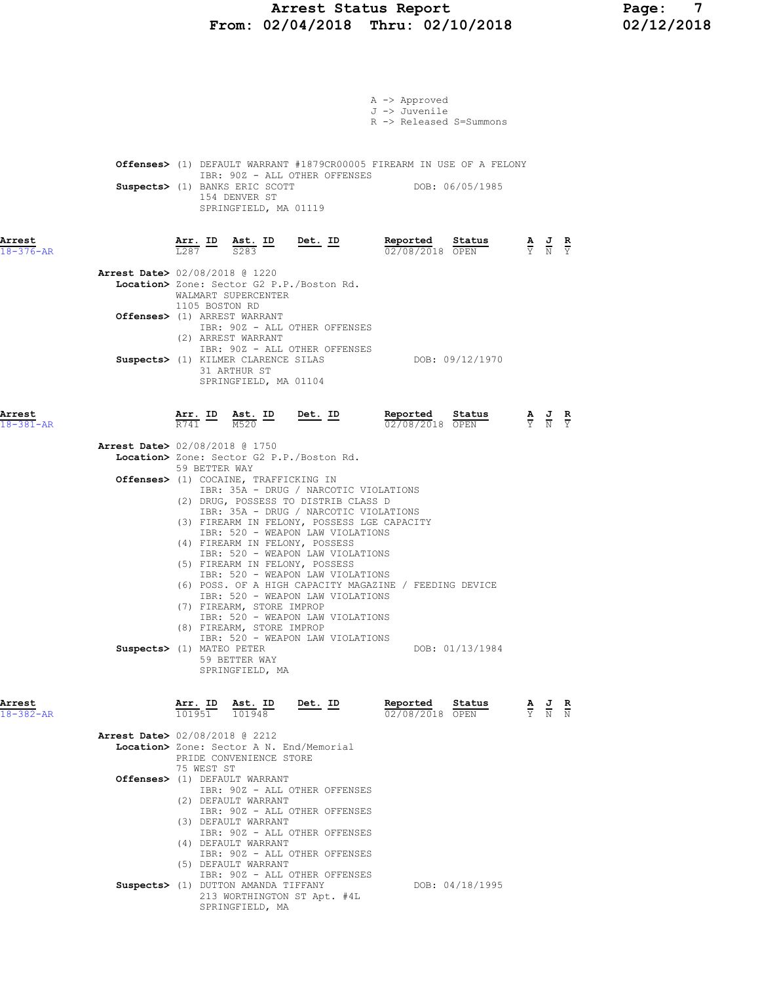# Arrest Status Report Page: 7<br>12/04/2018 Thru: 02/10/2018 02/12/2018 From:  $02/04/2018$  Thru:  $02/10/2018$

|                           |                                                                                            |                                       | A -> Approved                      |                 |                                                                                                 |  |
|---------------------------|--------------------------------------------------------------------------------------------|---------------------------------------|------------------------------------|-----------------|-------------------------------------------------------------------------------------------------|--|
|                           |                                                                                            |                                       | J -> Juvenile                      |                 |                                                                                                 |  |
|                           |                                                                                            |                                       | R -> Released S=Summons            |                 |                                                                                                 |  |
|                           |                                                                                            |                                       |                                    |                 |                                                                                                 |  |
|                           | Offenses> (1) DEFAULT WARRANT #1879CR00005 FIREARM IN USE OF A FELONY                      | IBR: 90Z - ALL OTHER OFFENSES         |                                    |                 |                                                                                                 |  |
|                           | Suspects> (1) BANKS ERIC SCOTT                                                             |                                       | DOB: 06/05/1985                    |                 |                                                                                                 |  |
|                           | 154 DENVER ST                                                                              | SPRINGFIELD, MA 01119                 |                                    |                 |                                                                                                 |  |
|                           |                                                                                            |                                       |                                    |                 |                                                                                                 |  |
| Arrest                    | $\frac{\text{Arr.}}{\text{L}287}$ ID $\frac{\text{Ast.}}{\text{S}283}$ ID                  | <u>Det. ID</u>                        | Reported                           | Status          | $\frac{\mathbf{A}}{\mathbf{Y}}$ $\frac{\mathbf{J}}{\mathbf{N}}$ $\frac{\mathbf{R}}{\mathbf{Y}}$ |  |
| $18 - 376 - AR$           |                                                                                            |                                       | 02/08/2018 OPEN                    |                 |                                                                                                 |  |
|                           | <b>Arrest Date&gt;</b> 02/08/2018 @ 1220<br>Location> Zone: Sector G2 P.P./Boston Rd.      |                                       |                                    |                 |                                                                                                 |  |
|                           | WALMART SUPERCENTER                                                                        |                                       |                                    |                 |                                                                                                 |  |
|                           | 1105 BOSTON RD<br>Offenses> (1) ARREST WARRANT                                             |                                       |                                    |                 |                                                                                                 |  |
|                           | (2) ARREST WARRANT                                                                         | IBR: 90Z - ALL OTHER OFFENSES         |                                    |                 |                                                                                                 |  |
|                           |                                                                                            | IBR: 90Z - ALL OTHER OFFENSES         |                                    |                 |                                                                                                 |  |
|                           | Suspects> (1) KILMER CLARENCE SILAS<br>31 ARTHUR ST                                        |                                       |                                    | DOB: 09/12/1970 |                                                                                                 |  |
|                           |                                                                                            | SPRINGFIELD, MA 01104                 |                                    |                 |                                                                                                 |  |
|                           |                                                                                            |                                       |                                    |                 |                                                                                                 |  |
| Arrest<br>$18 - 381 - AR$ | $\frac{\texttt{Arr.}}{\texttt{R741}}$ ID $\frac{\texttt{ Ast.}}{\texttt{M520}}$ ID Det. ID |                                       | Reported Status<br>02/08/2018 OPEN |                 | $\frac{\mathbf{A}}{\mathbf{Y}}$ $\frac{\mathbf{J}}{\mathbf{N}}$ $\frac{\mathbf{R}}{\mathbf{Y}}$ |  |
|                           | <b>Arrest Date&gt;</b> 02/08/2018 @ 1750                                                   |                                       |                                    |                 |                                                                                                 |  |
|                           | Location> Zone: Sector G2 P.P./Boston Rd.                                                  |                                       |                                    |                 |                                                                                                 |  |
|                           | 59 BETTER WAY<br><b>Offenses&gt;</b> (1) COCAINE, TRAFFICKING IN                           |                                       |                                    |                 |                                                                                                 |  |
|                           |                                                                                            | IBR: 35A - DRUG / NARCOTIC VIOLATIONS |                                    |                 |                                                                                                 |  |
|                           | (2) DRUG, POSSESS TO DISTRIB CLASS D                                                       | IBR: 35A - DRUG / NARCOTIC VIOLATIONS |                                    |                 |                                                                                                 |  |
|                           | (3) FIREARM IN FELONY, POSSESS LGE CAPACITY                                                | IBR: 520 - WEAPON LAW VIOLATIONS      |                                    |                 |                                                                                                 |  |
|                           | (4) FIREARM IN FELONY, POSSESS                                                             |                                       |                                    |                 |                                                                                                 |  |
|                           | (5) FIREARM IN FELONY, POSSESS                                                             | IBR: 520 - WEAPON LAW VIOLATIONS      |                                    |                 |                                                                                                 |  |
|                           | (6) POSS. OF A HIGH CAPACITY MAGAZINE / FEEDING DEVICE                                     | IBR: 520 - WEAPON LAW VIOLATIONS      |                                    |                 |                                                                                                 |  |
|                           |                                                                                            | IBR: 520 - WEAPON LAW VIOLATIONS      |                                    |                 |                                                                                                 |  |
|                           | (7) FIREARM, STORE IMPROP                                                                  | IBR: 520 - WEAPON LAW VIOLATIONS      |                                    |                 |                                                                                                 |  |
|                           | (8) FIREARM, STORE IMPROP                                                                  | IBR: 520 - WEAPON LAW VIOLATIONS      |                                    |                 |                                                                                                 |  |
|                           | Suspects> (1) MATEO PETER<br>59 BETTER WAY                                                 |                                       |                                    | DOB: 01/13/1984 |                                                                                                 |  |
|                           | SPRINGFIELD, MA                                                                            |                                       |                                    |                 |                                                                                                 |  |
|                           |                                                                                            |                                       |                                    |                 |                                                                                                 |  |
| Arrest<br>$18 - 382 - AR$ | Arr. ID Ast. ID Det. ID<br>101948<br>101951                                                |                                       | Reported<br>02/08/2018 OPEN        | Status          | $\frac{\mathbf{A}}{\mathbf{Y}}$ $\frac{\mathbf{J}}{\mathbf{N}}$ $\frac{\mathbf{R}}{\mathbf{N}}$ |  |
|                           |                                                                                            |                                       |                                    |                 |                                                                                                 |  |
|                           | <b>Arrest Date&gt; 02/08/2018 @ 2212</b><br>Location> Zone: Sector A N. End/Memorial       |                                       |                                    |                 |                                                                                                 |  |
|                           | PRIDE CONVENIENCE STORE<br>75 WEST ST                                                      |                                       |                                    |                 |                                                                                                 |  |
|                           | Offenses> (1) DEFAULT WARRANT                                                              |                                       |                                    |                 |                                                                                                 |  |
|                           | (2) DEFAULT WARRANT                                                                        | IBR: 90Z - ALL OTHER OFFENSES         |                                    |                 |                                                                                                 |  |
|                           | (3) DEFAULT WARRANT                                                                        | IBR: 90Z - ALL OTHER OFFENSES         |                                    |                 |                                                                                                 |  |
|                           |                                                                                            | IBR: 90Z - ALL OTHER OFFENSES         |                                    |                 |                                                                                                 |  |
|                           | (4) DEFAULT WARRANT                                                                        | IBR: 90Z - ALL OTHER OFFENSES         |                                    |                 |                                                                                                 |  |
|                           | (5) DEFAULT WARRANT                                                                        | IBR: 90Z - ALL OTHER OFFENSES         |                                    |                 |                                                                                                 |  |
|                           | Suspects> (1) DUTTON AMANDA TIFFANY                                                        |                                       |                                    | DOB: 04/18/1995 |                                                                                                 |  |
|                           |                                                                                            | 213 WORTHINGTON ST Apt. #4L           |                                    |                 |                                                                                                 |  |

SPRINGFIELD, MA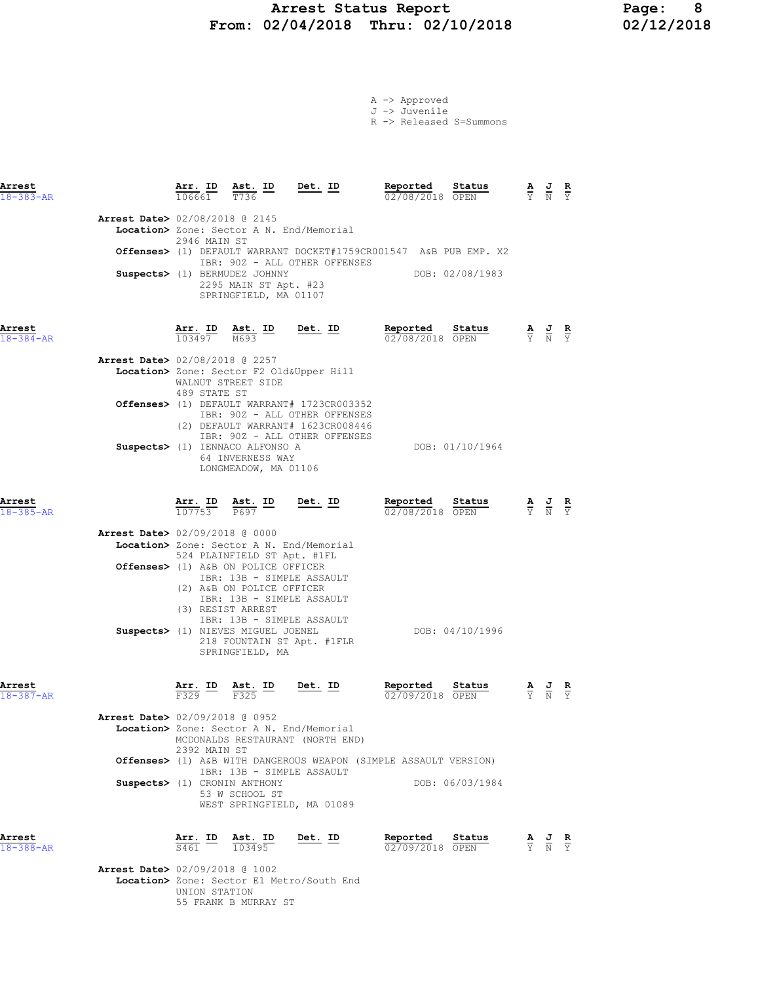# Arrest Status Report Page: 8<br>12/04/2018 Thru: 02/10/2018 02/12/2018 From:  $02/04/2018$  Thru:  $02/10/2018$

|  | $A \rightarrow$ Approved |                                      |
|--|--------------------------|--------------------------------------|
|  | J -> Juvenile            |                                      |
|  |                          | $R$ $\rightarrow$ Released S=Summons |

| Arrest<br>$18 - 383 - AR$ |                                          | $\frac{\texttt{Arr. ID}}{106661}$                                      | Ast. ID<br>T736                                                                                                                                                                                       | <u>Det. ID</u>                                                                                                    | Reported<br>02/08/2018 OPEN   | Status          | $\frac{\mathbf{A}}{\mathbf{Y}}$ $\frac{\mathbf{J}}{\mathbf{N}}$ $\frac{\mathbf{R}}{\mathbf{Y}}$       |  |
|---------------------------|------------------------------------------|------------------------------------------------------------------------|-------------------------------------------------------------------------------------------------------------------------------------------------------------------------------------------------------|-------------------------------------------------------------------------------------------------------------------|-------------------------------|-----------------|-------------------------------------------------------------------------------------------------------|--|
|                           | Arrest Date> 02/08/2018 @ 2145           | 2946 MAIN ST                                                           | Location> Zone: Sector A N. End/Memorial<br>Suspects> (1) BERMUDEZ JOHNNY<br>2295 MAIN ST Apt. #23<br>SPRINGFIELD, MA 01107                                                                           | Offenses> (1) DEFAULT WARRANT DOCKET#1759CR001547 A&B PUB EMP. X2<br>IBR: 90Z - ALL OTHER OFFENSES                |                               | DOB: 02/08/1983 |                                                                                                       |  |
| Arrest<br>$18 - 384 - AR$ |                                          |                                                                        | $\frac{\texttt{Arr.}}{103497}$ $\frac{\texttt{Ab.}}{M693}$ $\frac{\texttt{ID}}{M}$                                                                                                                    | <u>Det. ID</u>                                                                                                    | Reported<br>02/08/2018 OPEN   | Status          | $\frac{\mathbf{A}}{\mathbf{Y}}$ $\frac{\mathbf{J}}{\mathbf{N}}$ $\frac{\mathbf{R}}{\mathbf{Y}}$       |  |
|                           | <b>Arrest Date&gt;</b> 02/08/2018 @ 2257 |                                                                        | Location> Zone: Sector F2 Old&Upper Hill<br>WALNUT STREET SIDE                                                                                                                                        |                                                                                                                   |                               |                 |                                                                                                       |  |
|                           |                                          | 489 STATE ST                                                           |                                                                                                                                                                                                       | Offenses> (1) DEFAULT WARRANT# 1723CR003352<br>IBR: 90Z - ALL OTHER OFFENSES<br>(2) DEFAULT WARRANT# 1623CR008446 |                               |                 |                                                                                                       |  |
|                           |                                          |                                                                        | Suspects> (1) IENNACO ALFONSO A<br>64 INVERNESS WAY<br>LONGMEADOW, MA 01106                                                                                                                           | IBR: 90Z - ALL OTHER OFFENSES                                                                                     |                               | DOB: 01/10/1964 |                                                                                                       |  |
| Arrest<br>$18 - 385 - AR$ |                                          |                                                                        | $\frac{\texttt{Arr. ID}}{107753}$ $\frac{\texttt{ Ast. ID}}{P697}$                                                                                                                                    | Det. ID                                                                                                           | Reported<br>02/08/2018 OPEN   | Status          | $\frac{\mathbf{A}}{\mathbf{Y}}$ $\frac{\mathbf{J}}{\mathbf{N}}$ $\frac{\mathbf{R}}{\mathbf{Y}}$       |  |
|                           | <b>Arrest Date&gt; 02/09/2018 @ 0000</b> |                                                                        | Location> Zone: Sector A N. End/Memorial<br>524 PLAINFIELD ST Apt. #1FL<br>Offenses> (1) A&B ON POLICE OFFICER<br>IBR: 13B - SIMPLE ASSAULT<br>(2) A&B ON POLICE OFFICER<br>IBR: 13B - SIMPLE ASSAULT |                                                                                                                   |                               |                 |                                                                                                       |  |
|                           |                                          |                                                                        | (3) RESIST ARREST<br>IBR: 13B - SIMPLE ASSAULT<br>Suspects> (1) NIEVES MIGUEL JOENEL<br>218 FOUNTAIN ST Apt. #1FLR<br>SPRINGFIELD, MA                                                                 |                                                                                                                   |                               | DOB: 04/10/1996 |                                                                                                       |  |
| Arrest<br>$18 - 387 - AR$ |                                          | $\frac{\text{Arr.}}{\text{F}329}$ $\frac{\text{ID}}{\text{F}}$<br>F329 | Ast. ID<br>F325                                                                                                                                                                                       | Det. ID                                                                                                           | Reported<br>$02/09/2018$ OPEN | Status          | $\frac{\mathbf{A}}{\overline{Y}}$ $\frac{\mathbf{J}}{\overline{N}}$ $\frac{\mathbf{R}}{\overline{Y}}$ |  |
|                           | <b>Arrest Date&gt;</b> 02/09/2018 @ 0952 | 2392 MAIN ST                                                           | Location> Zone: Sector A N. End/Memorial                                                                                                                                                              | MCDONALDS RESTAURANT (NORTH END)                                                                                  |                               |                 |                                                                                                       |  |
|                           | Suspects> (1) CRONIN ANTHONY             |                                                                        | IBR: 13B - SIMPLE ASSAULT<br>53 W SCHOOL ST<br>WEST SPRINGFIELD, MA 01089                                                                                                                             | <b>Offenses&gt;</b> (1) A&B WITH DANGEROUS WEAPON (SIMPLE ASSAULT VERSION)                                        |                               | DOB: 06/03/1984 |                                                                                                       |  |
| Arrest<br>$18 - 388 - AR$ |                                          | $\frac{\text{Arr.}}{\text{S461}}$ ID                                   | $\frac{\text{Ast.}}{103495}$                                                                                                                                                                          | Det. ID                                                                                                           | Reported<br>02/09/2018 OPEN   | Status          | $\frac{\mathbf{A}}{\mathbf{Y}}$ $\frac{\mathbf{J}}{\mathbf{N}}$ $\frac{\mathbf{R}}{\mathbf{Y}}$       |  |
|                           | Arrest Date> 02/09/2018 @ 1002           |                                                                        |                                                                                                                                                                                                       |                                                                                                                   |                               |                 |                                                                                                       |  |

Location> Zone: Sector E1 Metro/South End

 UNION STATION 55 FRANK B MURRAY ST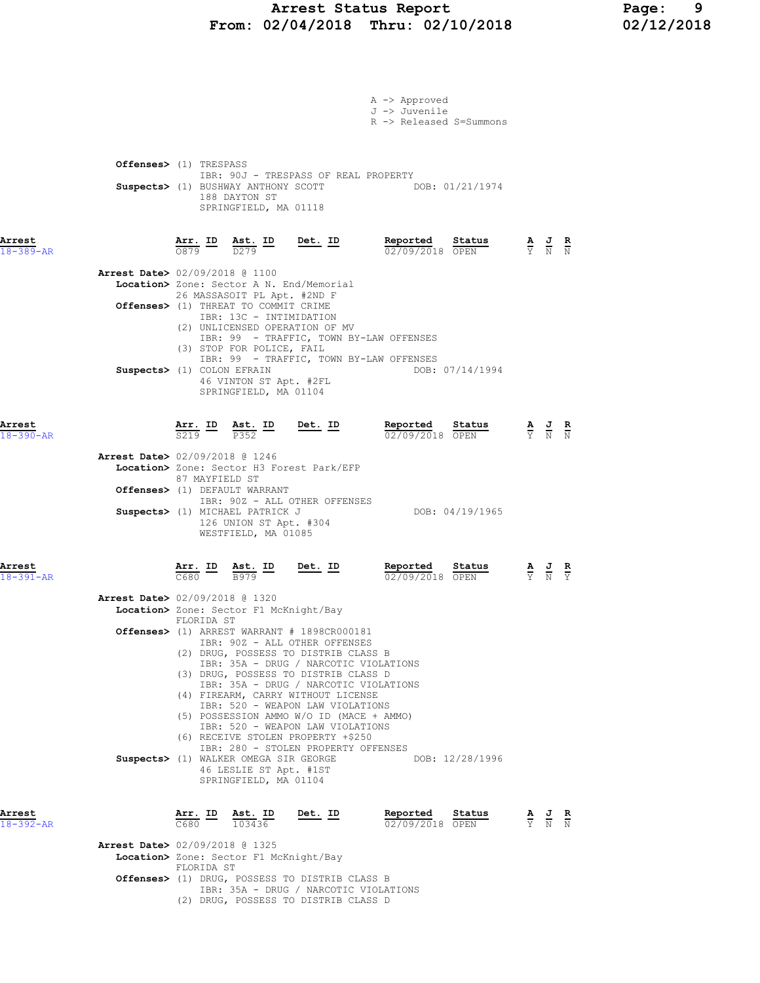# Arrest Status Report Page: 9<br>02/04/2018 Thru: 02/10/2018 02/12/2018 From:  $02/04/2018$  Thru:  $02/10/2018$

|                           |                                                                                                                                                   |                                                                                                                                                                                                                                                                              | A -> Approved<br>J -> Juvenile<br>R -> Released S=Summons |                                                                                                 |  |
|---------------------------|---------------------------------------------------------------------------------------------------------------------------------------------------|------------------------------------------------------------------------------------------------------------------------------------------------------------------------------------------------------------------------------------------------------------------------------|-----------------------------------------------------------|-------------------------------------------------------------------------------------------------|--|
|                           | Offenses> (1) TRESPASS<br>Suspects> (1) BUSHWAY ANTHONY SCOTT<br>188 DAYTON ST<br>SPRINGFIELD, MA 01118                                           | IBR: 90J - TRESPASS OF REAL PROPERTY                                                                                                                                                                                                                                         | DOB: 01/21/1974                                           |                                                                                                 |  |
| Arrest<br>$18 - 389 - AR$ |                                                                                                                                                   | $\frac{\text{Arr.}}{0879}$ ID $\frac{\text{Ast.}}{D279}$ ID Det. ID                                                                                                                                                                                                          | Reported Status<br>$\frac{02}{09/2018}$ OPEN<br>Status    | $\frac{\mathbf{A}}{\mathbf{Y}}$ $\frac{\mathbf{J}}{\mathbf{N}}$ $\frac{\mathbf{R}}{\mathbf{N}}$ |  |
|                           | Arrest Date> 02/09/2018 @ 1100<br>Location> Zone: Sector A N. End/Memorial<br>26 MASSASOIT PL Apt. #2ND F<br>Offenses> (1) THREAT TO COMMIT CRIME |                                                                                                                                                                                                                                                                              |                                                           |                                                                                                 |  |
|                           | (3) STOP FOR POLICE, FAIL<br>Suspects> (1) COLON EFRAIN<br>46 VINTON ST Apt. #2FL<br>SPRINGFIELD, MA 01104                                        | IBR: 13C - INTIMIDATION<br>(2) UNLICENSED OPERATION OF MV<br>IBR: 99 - TRAFFIC, TOWN BY-LAW OFFENSES<br>IBR: 99 - TRAFFIC, TOWN BY-LAW OFFENSES                                                                                                                              | DOB: 07/14/1994                                           |                                                                                                 |  |
| Arrest<br>$18 - 390 - AR$ | Arr. ID Ast. ID<br>S219<br>P352                                                                                                                   | $Det. ID$                                                                                                                                                                                                                                                                    | Reported Status<br>02/09/2018 OPEN                        | $\frac{\mathbf{A}}{\mathbf{Y}}$ $\frac{\mathbf{J}}{\mathbf{N}}$ $\frac{\mathbf{R}}{\mathbf{N}}$ |  |
|                           | <b>Arrest Date&gt;</b> 02/09/2018 @ 1246<br>87 MAYFIELD ST                                                                                        | Location> Zone: Sector H3 Forest Park/EFP                                                                                                                                                                                                                                    |                                                           |                                                                                                 |  |
|                           | Offenses> (1) DEFAULT WARRANT                                                                                                                     | IBR: 90Z - ALL OTHER OFFENSES                                                                                                                                                                                                                                                |                                                           |                                                                                                 |  |
|                           | Suspects> (1) MICHAEL PATRICK J<br>126 UNION ST Apt. #304<br>WESTFIELD, MA 01085                                                                  |                                                                                                                                                                                                                                                                              | DOB: 04/19/1965                                           |                                                                                                 |  |
| Arrest<br>$18 - 391 - AR$ | <u>Arr. ID</u><br>$\frac{\texttt{Ast.}}{\texttt{B979}}$ ID                                                                                        | Det. ID                                                                                                                                                                                                                                                                      | Reported<br>Status<br>02/09/2018 OPEN                     | $\frac{\mathbf{A}}{\mathbf{Y}}$ $\frac{\mathbf{J}}{\mathbf{N}}$ $\frac{\mathbf{R}}{\mathbf{Y}}$ |  |
|                           | Arrest Date> 02/09/2018 @ 1320<br>Location> Zone: Sector F1 McKnight/Bay<br>FLORIDA ST                                                            |                                                                                                                                                                                                                                                                              |                                                           |                                                                                                 |  |
|                           |                                                                                                                                                   | Offenses> (1) ARREST WARRANT # 1898CR000181<br>IBR: 90Z - ALL OTHER OFFENSES<br>(2) DRUG, POSSESS TO DISTRIB CLASS B<br>IBR: 35A - DRUG / NARCOTIC VIOLATIONS<br>(3) DRUG, POSSESS TO DISTRIB CLASS D                                                                        |                                                           |                                                                                                 |  |
|                           | Suspects> (1) WALKER OMEGA SIR GEORGE<br>46 LESLIE ST Apt. #1ST<br>SPRINGFIELD, MA 01104                                                          | IBR: 35A - DRUG / NARCOTIC VIOLATIONS<br>(4) FIREARM, CARRY WITHOUT LICENSE<br>IBR: 520 - WEAPON LAW VIOLATIONS<br>(5) POSSESSION AMMO W/O ID (MACE + AMMO)<br>IBR: 520 - WEAPON LAW VIOLATIONS<br>(6) RECEIVE STOLEN PROPERTY +\$250<br>IBR: 280 - STOLEN PROPERTY OFFENSES | DOB: 12/28/1996                                           |                                                                                                 |  |
| Arrest<br>$18 - 392 - AR$ | <u>Arr. ID</u><br><u>Ast. ID</u><br>$C680 -$<br>103436                                                                                            | Det. ID                                                                                                                                                                                                                                                                      | Reported<br>Status<br>02/09/2018 OPEN                     | $\frac{\mathbf{A}}{\mathbf{Y}}$ $\frac{\mathbf{J}}{\mathbf{N}}$ $\frac{\mathbf{R}}{\mathbf{N}}$ |  |
|                           | Arrest Date> 02/09/2018 @ 1325<br>Location> Zone: Sector F1 McKnight/Bay                                                                          |                                                                                                                                                                                                                                                                              |                                                           |                                                                                                 |  |
|                           | FLORIDA ST                                                                                                                                        | Offenses> (1) DRUG, POSSESS TO DISTRIB CLASS B<br>IBR: 35A - DRUG / NARCOTIC VIOLATIONS                                                                                                                                                                                      |                                                           |                                                                                                 |  |

(2) DRUG, POSSESS TO DISTRIB CLASS D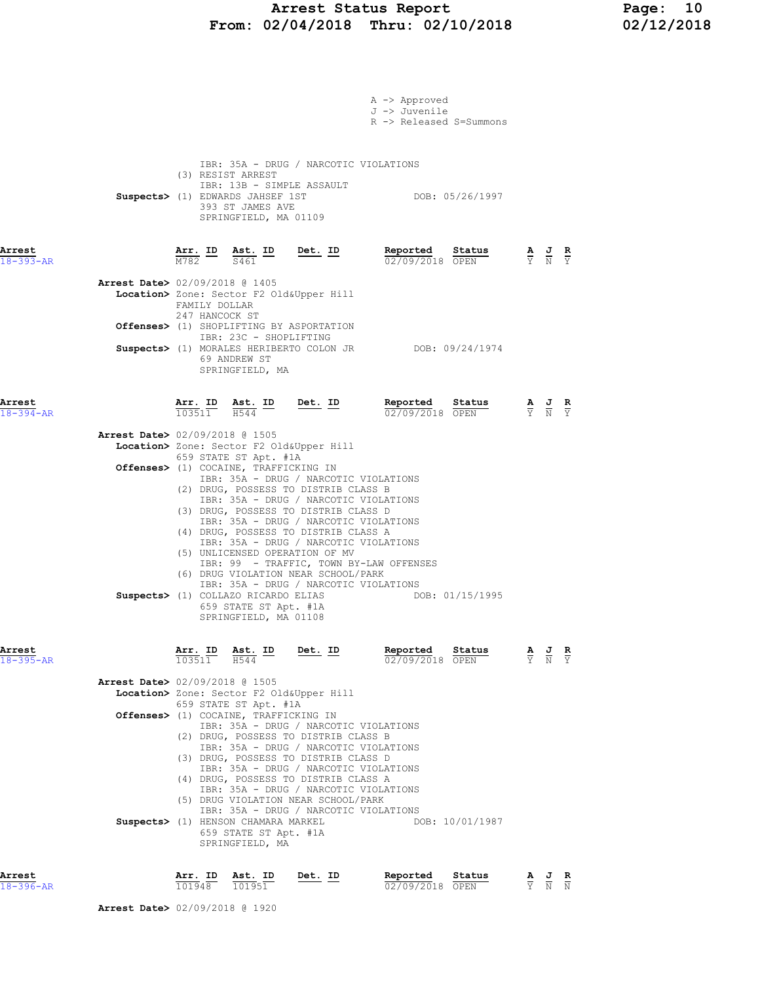# Arrest Status Report Page: 10<br>02/04/2018 Thru: 02/10/2018 02/12/2018 From:  $02/04/2018$  Thru:  $02/10/2018$

|                                                                       |                                       |                                                                                                                                                         |                                                                                                                                                                                                                                                                                                                                                                                                                                                        | A -> Approved<br>J -> Juvenile<br>R -> Released S=Summons  |                                 |                                                                                                       |               |
|-----------------------------------------------------------------------|---------------------------------------|---------------------------------------------------------------------------------------------------------------------------------------------------------|--------------------------------------------------------------------------------------------------------------------------------------------------------------------------------------------------------------------------------------------------------------------------------------------------------------------------------------------------------------------------------------------------------------------------------------------------------|------------------------------------------------------------|---------------------------------|-------------------------------------------------------------------------------------------------------|---------------|
|                                                                       |                                       | (3) RESIST ARREST<br>IBR: 13B - SIMPLE ASSAULT<br>Suspects> (1) EDWARDS JAHSEF 1ST<br>393 ST JAMES AVE<br>SPRINGFIELD, MA 01109                         | IBR: 35A - DRUG / NARCOTIC VIOLATIONS                                                                                                                                                                                                                                                                                                                                                                                                                  | DOB: 05/26/1997                                            |                                 |                                                                                                       |               |
| Arrest<br>$18 - 393 - AR$                                             |                                       | S461                                                                                                                                                    | $\frac{\texttt{Arr.}}{\text{M782}}$ ID $\frac{\texttt{ Ast.}}{\text{S461}}$ ID Det. ID                                                                                                                                                                                                                                                                                                                                                                 | <u>Reported</u><br>Status<br>02/09/2018 OPEN               |                                 | $\frac{\mathbf{A}}{\overline{Y}}$ $\frac{\mathbf{J}}{\overline{N}}$ $\frac{\mathbf{R}}{\overline{Y}}$ |               |
| Arrest Date> 02/09/2018 @ 1405                                        | FAMILY DOLLAR<br>247 HANCOCK ST       |                                                                                                                                                         | Location> Zone: Sector F2 Old&Upper Hill                                                                                                                                                                                                                                                                                                                                                                                                               |                                                            |                                 |                                                                                                       |               |
|                                                                       |                                       | IBR: 23C - SHOPLIFTING<br>69 ANDREW ST<br>SPRINGFIELD, MA                                                                                               | Offenses> (1) SHOPLIFTING BY ASPORTATION                                                                                                                                                                                                                                                                                                                                                                                                               | Suspects> (1) MORALES HERIBERTO COLON JR DOB: 09/24/1974   |                                 |                                                                                                       |               |
| Arrest<br>$18 - 394 - AR$                                             | $\overline{103511}$ $\overline{H544}$ | Arr. ID Ast. ID                                                                                                                                         | $Det. ID$                                                                                                                                                                                                                                                                                                                                                                                                                                              | Reported Status<br>02/09/2018 OPEN                         |                                 | $\frac{\mathbf{A}}{\overline{Y}}$ $\frac{\mathbf{J}}{\overline{N}}$ $\frac{\mathbf{R}}{\overline{Y}}$ |               |
| <b>Arrest Date&gt;</b> 02/09/2018 @ 1505                              |                                       | 659 STATE ST Apt. #1A<br>Offenses> (1) COCAINE, TRAFFICKING IN<br>Suspects> (1) COLLAZO RICARDO ELIAS<br>659 STATE ST Apt. #1A<br>SPRINGFIELD, MA 01108 | Location> Zone: Sector F2 Old&Upper Hill<br>IBR: 35A - DRUG / NARCOTIC VIOLATIONS<br>(2) DRUG, POSSESS TO DISTRIB CLASS B<br>IBR: 35A - DRUG / NARCOTIC VIOLATIONS<br>(3) DRUG, POSSESS TO DISTRIB CLASS D<br>IBR: 35A - DRUG / NARCOTIC VIOLATIONS<br>(4) DRUG, POSSESS TO DISTRIB CLASS A<br>IBR: 35A - DRUG / NARCOTIC VIOLATIONS<br>(5) UNLICENSED OPERATION OF MV<br>(6) DRUG VIOLATION NEAR SCHOOL/PARK<br>IBR: 35A - DRUG / NARCOTIC VIOLATIONS | IBR: 99 - TRAFFIC, TOWN BY-LAW OFFENSES<br>DOB: 01/15/1995 |                                 |                                                                                                       |               |
| Arrest<br>$18 - 395 - AR$<br><b>Arrest Date&gt; 02/09/2018 @ 1505</b> | <u>Arr. ID</u><br>103511              | <u>Ast. ID</u><br>H544<br>659 STATE ST Apt. #1A                                                                                                         | <u>Det. ID</u><br>Location> Zone: Sector F2 Old&Upper Hill                                                                                                                                                                                                                                                                                                                                                                                             | Reported<br>Status<br>02/09/2018 OPEN                      |                                 | $\frac{\mathbf{A}}{\mathbf{Y}}$ $\frac{\mathbf{J}}{\mathbf{N}}$                                       |               |
|                                                                       |                                       | Offenses> (1) COCAINE, TRAFFICKING IN<br>Suspects> (1) HENSON CHAMARA MARKEL<br>659 STATE ST Apt. #1A<br>SPRINGFIELD, MA                                | IBR: 35A - DRUG / NARCOTIC VIOLATIONS<br>(2) DRUG, POSSESS TO DISTRIB CLASS B<br>IBR: 35A - DRUG / NARCOTIC VIOLATIONS<br>(3) DRUG, POSSESS TO DISTRIB CLASS D<br>IBR: 35A - DRUG / NARCOTIC VIOLATIONS<br>(4) DRUG, POSSESS TO DISTRIB CLASS A<br>IBR: 35A - DRUG / NARCOTIC VIOLATIONS<br>(5) DRUG VIOLATION NEAR SCHOOL/PARK<br>IBR: 35A - DRUG / NARCOTIC VIOLATIONS                                                                               | DOB: 10/01/1987                                            |                                 |                                                                                                       |               |
| Arrest<br>$18 - 396 - AR$                                             | Arr. ID<br>101948                     | Ast. ID<br>101951                                                                                                                                       | Det. ID                                                                                                                                                                                                                                                                                                                                                                                                                                                | Reported<br>Status<br>02/09/2018 OPEN                      | $\frac{\mathbf{A}}{\mathbf{Y}}$ | $\frac{J}{N}$                                                                                         | $\frac{R}{N}$ |

Arrest Date> 02/09/2018 @ 1920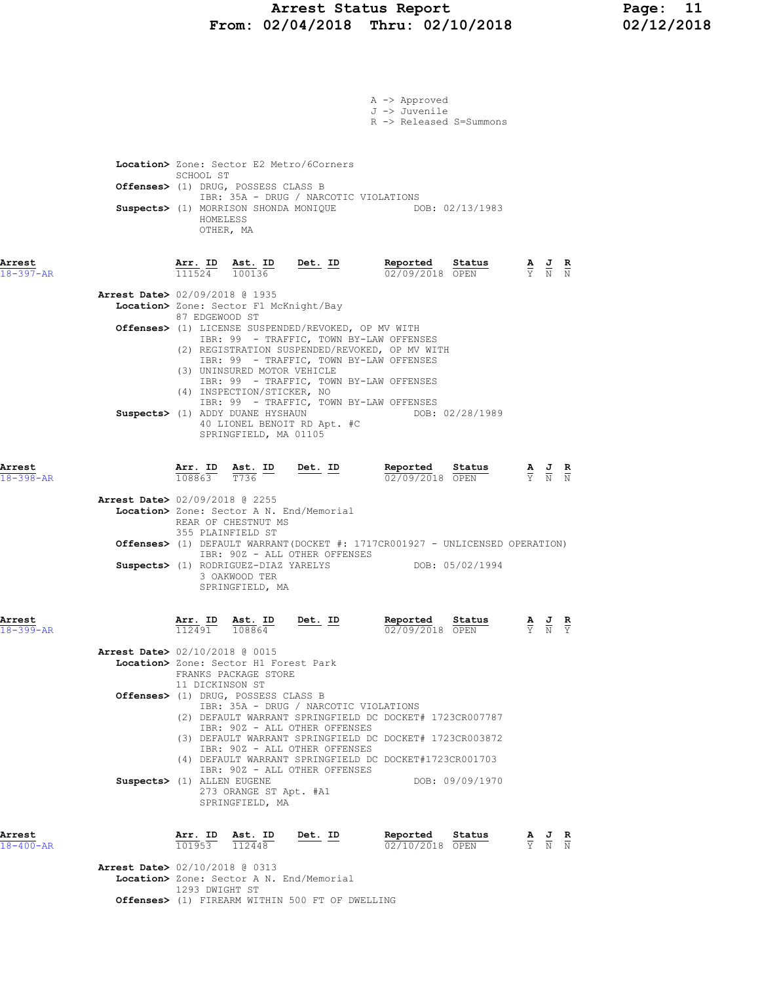### Arrest Status Report Page: 11 From: 02/04/2018 Thru: 02/10/2018 02/12/2018

|                                          |                          |                                                               |                                                                                               | A -> Approved<br>J -> Juvenile                                                                                                                                                                                     |                                                                                                 |                                                                                                 |  |
|------------------------------------------|--------------------------|---------------------------------------------------------------|-----------------------------------------------------------------------------------------------|--------------------------------------------------------------------------------------------------------------------------------------------------------------------------------------------------------------------|-------------------------------------------------------------------------------------------------|-------------------------------------------------------------------------------------------------|--|
|                                          |                          |                                                               |                                                                                               | R -> Released S=Summons                                                                                                                                                                                            |                                                                                                 |                                                                                                 |  |
|                                          |                          |                                                               |                                                                                               |                                                                                                                                                                                                                    |                                                                                                 |                                                                                                 |  |
|                                          |                          |                                                               | Location> Zone: Sector E2 Metro/6Corners                                                      |                                                                                                                                                                                                                    |                                                                                                 |                                                                                                 |  |
|                                          | SCHOOL ST                | Offenses> (1) DRUG, POSSESS CLASS B                           |                                                                                               |                                                                                                                                                                                                                    |                                                                                                 |                                                                                                 |  |
|                                          |                          |                                                               |                                                                                               | IBR: 35A - DRUG / NARCOTIC VIOLATIONS<br>Suspects> (1) MORRISON SHONDA MONIQUE DOB: 02/13/1983                                                                                                                     |                                                                                                 |                                                                                                 |  |
|                                          |                          | HOMELESS                                                      |                                                                                               |                                                                                                                                                                                                                    |                                                                                                 |                                                                                                 |  |
|                                          |                          | OTHER, MA                                                     |                                                                                               |                                                                                                                                                                                                                    |                                                                                                 |                                                                                                 |  |
| Arrest                                   |                          |                                                               |                                                                                               | Reported Status                                                                                                                                                                                                    |                                                                                                 |                                                                                                 |  |
| $18 - 397 - AR$                          |                          |                                                               | $\frac{\texttt{Arr. ID}}{111524}$ $\frac{\texttt{ Ast. ID}}{100136}$ Det. ID                  | 02/09/2018 OPEN                                                                                                                                                                                                    | $\frac{\mathbf{A}}{\mathbf{Y}}$ $\frac{\mathbf{J}}{\mathbf{N}}$ $\frac{\mathbf{R}}{\mathbf{N}}$ |                                                                                                 |  |
| <b>Arrest Date&gt;</b> 02/09/2018 @ 1935 |                          |                                                               |                                                                                               |                                                                                                                                                                                                                    |                                                                                                 |                                                                                                 |  |
|                                          | 87 EDGEWOOD ST           | Location> Zone: Sector F1 McKnight/Bay                        |                                                                                               |                                                                                                                                                                                                                    |                                                                                                 |                                                                                                 |  |
|                                          |                          |                                                               |                                                                                               | Offenses> (1) LICENSE SUSPENDED/REVOKED, OP MV WITH<br>IBR: 99 - TRAFFIC, TOWN BY-LAW OFFENSES                                                                                                                     |                                                                                                 |                                                                                                 |  |
|                                          |                          |                                                               |                                                                                               | (2) REGISTRATION SUSPENDED/REVOKED, OP MV WITH<br>IBR: 99 - TRAFFIC, TOWN BY-LAW OFFENSES                                                                                                                          |                                                                                                 |                                                                                                 |  |
|                                          |                          | (3) UNINSURED MOTOR VEHICLE                                   |                                                                                               | IBR: 99 - TRAFFIC, TOWN BY-LAW OFFENSES                                                                                                                                                                            |                                                                                                 |                                                                                                 |  |
|                                          |                          | (4) INSPECTION/STICKER, NO                                    |                                                                                               | IBR: 99 - TRAFFIC, TOWN BY-LAW OFFENSES                                                                                                                                                                            |                                                                                                 |                                                                                                 |  |
|                                          |                          |                                                               | Suspects> (1) ADDY DUANE HYSHAUN                                                              | DOB: 02/28/1989                                                                                                                                                                                                    |                                                                                                 |                                                                                                 |  |
|                                          |                          | SPRINGFIELD, MA 01105                                         | 40 LIONEL BENOIT RD Apt. #C                                                                   |                                                                                                                                                                                                                    |                                                                                                 |                                                                                                 |  |
|                                          |                          |                                                               |                                                                                               |                                                                                                                                                                                                                    |                                                                                                 |                                                                                                 |  |
| Arrest<br>$18 - 398 - AR$                |                          |                                                               | $\frac{\texttt{Arr. ID}}{108863}$ $\frac{\texttt{ Ast. ID}}{T736}$ Det. ID                    | <b>Reported</b> Status $\frac{A}{0.2}$ $\frac{B}{0.2}$ $\frac{C}{0.2}$ $\frac{D}{0.2}$ $\frac{D}{0.2}$ $\frac{D}{0.2}$ $\frac{D}{0.2}$ $\frac{D}{0.2}$ $\frac{D}{0.2}$ $\frac{E}{0.2}$ $\frac{E}{N}$ $\frac{E}{N}$ |                                                                                                 |                                                                                                 |  |
| <b>Arrest Date&gt; 02/09/2018 @ 2255</b> |                          |                                                               |                                                                                               |                                                                                                                                                                                                                    |                                                                                                 |                                                                                                 |  |
|                                          |                          |                                                               | Location> Zone: Sector A N. End/Memorial                                                      |                                                                                                                                                                                                                    |                                                                                                 |                                                                                                 |  |
|                                          |                          | REAR OF CHESTNUT MS<br>355 PLAINFIELD ST                      |                                                                                               |                                                                                                                                                                                                                    |                                                                                                 |                                                                                                 |  |
|                                          |                          |                                                               | IBR: 90Z - ALL OTHER OFFENSES                                                                 | <b>Offenses&gt;</b> (1) DEFAULT WARRANT(DOCKET #: 1717CR001927 - UNLICENSED OPERATION)                                                                                                                             |                                                                                                 |                                                                                                 |  |
|                                          |                          | 3 OAKWOOD TER                                                 |                                                                                               | Suspects> (1) RODRIGUEZ-DIAZ YARELYS DOB: 05/02/1994                                                                                                                                                               |                                                                                                 |                                                                                                 |  |
|                                          |                          | SPRINGFIELD, MA                                               |                                                                                               |                                                                                                                                                                                                                    |                                                                                                 |                                                                                                 |  |
|                                          |                          |                                                               |                                                                                               |                                                                                                                                                                                                                    |                                                                                                 |                                                                                                 |  |
| Arrest<br>$18 - 399 - AR$                | <u>Arr. ID</u><br>112491 |                                                               | $\frac{\texttt{Ast.}}{108864}$ Det. ID                                                        | Reported<br>02/09/2018 OPEN                                                                                                                                                                                        | Status                                                                                          | $\frac{\mathbf{A}}{\mathbf{Y}}$ $\frac{\mathbf{J}}{\mathbf{N}}$ $\frac{\mathbf{R}}{\mathbf{Y}}$ |  |
| <b>Arrest Date&gt; 02/10/2018 @ 0015</b> |                          |                                                               |                                                                                               |                                                                                                                                                                                                                    |                                                                                                 |                                                                                                 |  |
|                                          |                          | Location> Zone: Sector H1 Forest Park<br>FRANKS PACKAGE STORE |                                                                                               |                                                                                                                                                                                                                    |                                                                                                 |                                                                                                 |  |
|                                          | 11 DICKINSON ST          | Offenses> (1) DRUG, POSSESS CLASS B                           |                                                                                               |                                                                                                                                                                                                                    |                                                                                                 |                                                                                                 |  |
|                                          |                          |                                                               |                                                                                               | IBR: 35A - DRUG / NARCOTIC VIOLATIONS                                                                                                                                                                              |                                                                                                 |                                                                                                 |  |
|                                          |                          |                                                               | IBR: 90Z - ALL OTHER OFFENSES                                                                 | (2) DEFAULT WARRANT SPRINGFIELD DC DOCKET# 1723CR007787                                                                                                                                                            |                                                                                                 |                                                                                                 |  |
|                                          |                          |                                                               | IBR: 90Z - ALL OTHER OFFENSES                                                                 | (3) DEFAULT WARRANT SPRINGFIELD DC DOCKET# 1723CR003872                                                                                                                                                            |                                                                                                 |                                                                                                 |  |
|                                          |                          |                                                               | IBR: 90Z - ALL OTHER OFFENSES                                                                 | (4) DEFAULT WARRANT SPRINGFIELD DC DOCKET#1723CR001703                                                                                                                                                             |                                                                                                 |                                                                                                 |  |
| Suspects> (1) ALLEN EUGENE               |                          | 273 ORANGE ST Apt. #A1                                        |                                                                                               | DOB: 09/09/1970                                                                                                                                                                                                    |                                                                                                 |                                                                                                 |  |
|                                          |                          | SPRINGFIELD, MA                                               |                                                                                               |                                                                                                                                                                                                                    |                                                                                                 |                                                                                                 |  |
|                                          |                          |                                                               |                                                                                               |                                                                                                                                                                                                                    |                                                                                                 |                                                                                                 |  |
| Arrest<br>18-400-AR                      |                          |                                                               | $\frac{\texttt{Arr.}}{101953}$ $\frac{\texttt{ Ast.}}{112448}$ $\frac{\texttt{Det.}}{201953}$ | Reported Status<br>02/10/2018 OPEN                                                                                                                                                                                 |                                                                                                 | $\frac{\mathbf{A}}{\mathbf{Y}}$ $\frac{\mathbf{J}}{\mathbf{N}}$ $\frac{\mathbf{R}}{\mathbf{N}}$ |  |
| <b>Arrest Date&gt;</b> 02/10/2018 @ 0313 |                          |                                                               |                                                                                               |                                                                                                                                                                                                                    |                                                                                                 |                                                                                                 |  |
|                                          | 1293 DWIGHT ST           |                                                               | Location> Zone: Sector A N. End/Memorial                                                      |                                                                                                                                                                                                                    |                                                                                                 |                                                                                                 |  |
|                                          |                          |                                                               | Offenses> (1) FIREARM WITHIN 500 FT OF DWELLING                                               |                                                                                                                                                                                                                    |                                                                                                 |                                                                                                 |  |
|                                          |                          |                                                               |                                                                                               |                                                                                                                                                                                                                    |                                                                                                 |                                                                                                 |  |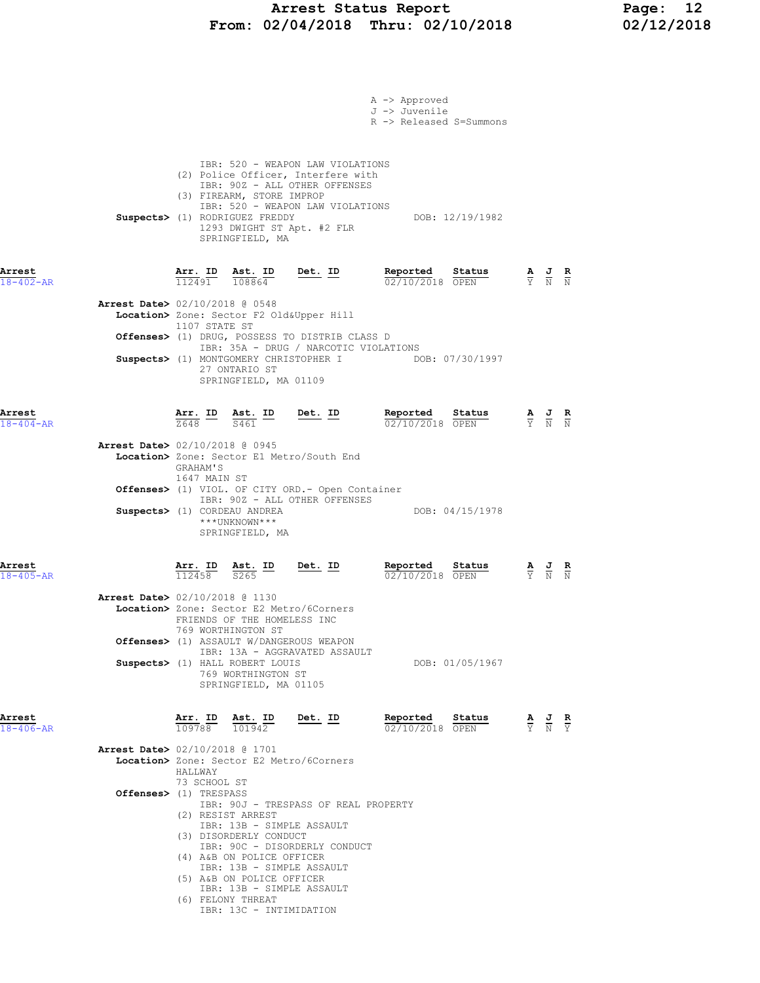## Arrest Status Report Page: 12 From: 02/04/2018 Thru: 02/10/2018 02/12/2018

|                                          |                                         |                                                                                |                                                                                                                                                                           | A -> Approved<br>J -> Juvenile<br>R -> Released S=Summons |                 |                                                                                                       |  |
|------------------------------------------|-----------------------------------------|--------------------------------------------------------------------------------|---------------------------------------------------------------------------------------------------------------------------------------------------------------------------|-----------------------------------------------------------|-----------------|-------------------------------------------------------------------------------------------------------|--|
|                                          |                                         | (3) FIREARM, STORE IMPROP<br>Suspects> (1) RODRIGUEZ FREDDY<br>SPRINGFIELD, MA | IBR: 520 - WEAPON LAW VIOLATIONS<br>(2) Police Officer, Interfere with<br>IBR: 90Z - ALL OTHER OFFENSES<br>IBR: 520 - WEAPON LAW VIOLATIONS<br>1293 DWIGHT ST Apt. #2 FLR |                                                           | DOB: 12/19/1982 |                                                                                                       |  |
| Arrest<br>$18 - 402 - AR$                |                                         | $\frac{\texttt{Arr. ID}}{112491}$ $\frac{\texttt{ Ast. ID}}{108864}$           | $Det. ID$                                                                                                                                                                 | Reported Status<br>$02/10/2018$ OPEN                      |                 | $\frac{\mathbf{A}}{\mathbf{Y}}$ $\frac{\mathbf{J}}{\mathbf{N}}$ $\frac{\mathbf{R}}{\mathbf{N}}$       |  |
| <b>Arrest Date&gt;</b> 02/10/2018 @ 0548 | 1107 STATE ST                           |                                                                                | Location> Zone: Sector F2 Old&Upper Hill                                                                                                                                  |                                                           |                 |                                                                                                       |  |
|                                          |                                         |                                                                                | Offenses> (1) DRUG, POSSESS TO DISTRIB CLASS D<br>IBR: 35A - DRUG / NARCOTIC VIOLATIONS                                                                                   |                                                           |                 |                                                                                                       |  |
|                                          |                                         | 27 ONTARIO ST<br>SPRINGFIELD, MA 01109                                         |                                                                                                                                                                           | Suspects> (1) MONTGOMERY CHRISTOPHER I DOB: 07/30/1997    |                 |                                                                                                       |  |
| Arrest<br>$18 - 404 - AR$                |                                         |                                                                                | $\frac{\texttt{Arr.}}{2648}$ ID Ast. ID Det. ID                                                                                                                           | Reported Status<br>02/10/2018 OPEN                        |                 | $\frac{\mathbf{A}}{\mathbf{Y}}$ $\frac{\mathbf{J}}{\mathbf{N}}$ $\frac{\mathbf{R}}{\mathbf{N}}$       |  |
| Arrest Date> 02/10/2018 @ 0945           | GRAHAM'S<br>1647 MAIN ST                |                                                                                | Location> Zone: Sector E1 Metro/South End                                                                                                                                 |                                                           |                 |                                                                                                       |  |
| Suspects> (1) CORDEAU ANDREA             |                                         | ***UNKNOWN***<br>SPRINGFIELD, MA                                               | <b>Offenses&gt;</b> (1) VIOL. OF CITY ORD. - Open Container<br>IBR: 90Z - ALL OTHER OFFENSES                                                                              |                                                           | DOB: 04/15/1978 |                                                                                                       |  |
| Arrest<br>$18 - 405 - AR$                | $\frac{\texttt{Arr. ID}}{112458}$       | $\frac{\text{Ast.}}{\text{S265}}$ ID<br>S <sub>265</sub>                       | $Det. ID$                                                                                                                                                                 | Reported<br>02/10/2018 OPEN                               | Status          | $\frac{\mathbf{A}}{\overline{Y}}$ $\frac{\mathbf{J}}{\overline{N}}$ $\frac{\mathbf{R}}{\overline{N}}$ |  |
| Arrest Date> 02/10/2018 @ 1130           |                                         | FRIENDS OF THE HOMELESS INC<br>769 WORTHINGTON ST                              | Location> Zone: Sector E2 Metro/6Corners                                                                                                                                  |                                                           |                 |                                                                                                       |  |
|                                          |                                         | Suspects> (1) HALL ROBERT LOUIS<br>769 WORTHINGTON ST<br>SPRINGFIELD, MA 01105 | <b>Offenses&gt;</b> (1) ASSAULT W/DANGEROUS WEAPON<br>IBR: 13A - AGGRAVATED ASSAULT                                                                                       |                                                           | DOB: 01/05/1967 |                                                                                                       |  |
| Arrest<br>$18 - 406 - AR$                | $\overline{109788}$ $\overline{101942}$ |                                                                                | Arr. ID Ast. ID Det. ID                                                                                                                                                   | Reported Status<br>02/10/2018 OPEN                        |                 | $\frac{\mathbf{A}}{\mathbf{Y}}$ $\frac{\mathbf{J}}{\mathbf{N}}$ $\frac{\mathbf{R}}{\mathbf{Y}}$       |  |
| Arrest Date> 02/10/2018 @ 1701           | HALLWAY<br>73 SCHOOL ST                 |                                                                                | Location> Zone: Sector E2 Metro/6Corners                                                                                                                                  |                                                           |                 |                                                                                                       |  |
| Offenses> (1) TRESPASS                   |                                         | (2) RESIST ARREST<br>(3) DISORDERLY CONDUCT<br>(4) A&B ON POLICE OFFICER       | IBR: 90J - TRESPASS OF REAL PROPERTY<br>IBR: 13B - SIMPLE ASSAULT<br>IBR: 90C - DISORDERLY CONDUCT<br>IBR: 13B - SIMPLE ASSAULT                                           |                                                           |                 |                                                                                                       |  |
|                                          |                                         | (5) A&B ON POLICE OFFICER<br>(6) FELONY THREAT<br>IBR: 13C - INTIMIDATION      | IBR: 13B - SIMPLE ASSAULT                                                                                                                                                 |                                                           |                 |                                                                                                       |  |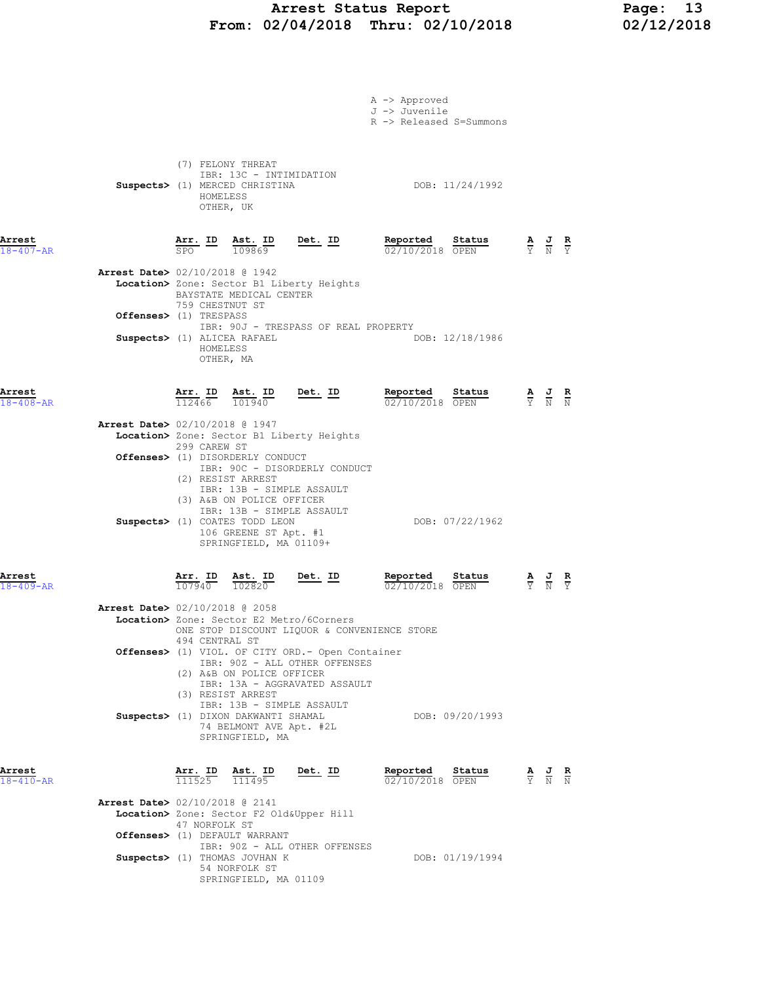## Arrest Status Report Page: 13 From: 02/04/2018 Thru: 02/10/2018 02/12/2018

|                           |                                                                                                                                                                                                                    | A -> Approved<br>J -> Juvenile<br>R -> Released S=Summons |                                                                                                       |
|---------------------------|--------------------------------------------------------------------------------------------------------------------------------------------------------------------------------------------------------------------|-----------------------------------------------------------|-------------------------------------------------------------------------------------------------------|
|                           | (7) FELONY THREAT<br>IBR: 13C - INTIMIDATION<br>Suspects> (1) MERCED CHRISTINA<br>HOMELESS<br>OTHER, UK                                                                                                            | DOB: 11/24/1992                                           |                                                                                                       |
| Arrest<br>$18 - 407 - AR$ | $\frac{\texttt{Arr.}}{\texttt{SPO}}$ $\frac{\texttt{lab}}{109869}$<br><u>Det.</u> ID                                                                                                                               | Reported<br>Status<br>02/10/2018 OPEN                     | $\frac{\mathbf{A}}{\overline{Y}}$ $\frac{\mathbf{J}}{\overline{N}}$ $\frac{\mathbf{R}}{\overline{Y}}$ |
|                           | Arrest Date> 02/10/2018 @ 1942                                                                                                                                                                                     |                                                           |                                                                                                       |
|                           | Location> Zone: Sector B1 Liberty Heights<br>BAYSTATE MEDICAL CENTER                                                                                                                                               |                                                           |                                                                                                       |
|                           | 759 CHESTNUT ST<br>Offenses> (1) TRESPASS<br>IBR: 90J - TRESPASS OF REAL PROPERTY                                                                                                                                  |                                                           |                                                                                                       |
|                           | Suspects> (1) ALICEA RAFAEL<br>HOMELESS<br>OTHER, MA                                                                                                                                                               | DOB: 12/18/1986                                           |                                                                                                       |
| Arrest<br>$18 - 408 - AR$ | $\frac{\texttt{Arr. ID}}{112466}$<br>$\frac{\texttt{Ast.}}{101940}$<br><u>Det. ID</u>                                                                                                                              | <u>Reported</u><br>Status<br>02/10/2018 OPEN              | $\frac{\mathbf{A}}{\mathbf{Y}}$ $\frac{\mathbf{J}}{\mathbf{N}}$ $\frac{\mathbf{R}}{\mathbf{N}}$       |
|                           | Arrest Date> 02/10/2018 @ 1947<br>Location> Zone: Sector B1 Liberty Heights<br>299 CAREW ST                                                                                                                        |                                                           |                                                                                                       |
|                           | Offenses> (1) DISORDERLY CONDUCT<br>IBR: 90C - DISORDERLY CONDUCT<br>(2) RESIST ARREST<br>IBR: 13B - SIMPLE ASSAULT<br>(3) A&B ON POLICE OFFICER                                                                   |                                                           |                                                                                                       |
|                           | IBR: 13B - SIMPLE ASSAULT<br>Suspects> (1) COATES TODD LEON<br>106 GREENE ST Apt. #1<br>SPRINGFIELD, MA 01109+                                                                                                     | DOB: 07/22/1962                                           |                                                                                                       |
| Arrest<br>$18 - 409 - AR$ | Ast. ID<br>Arr. ID<br><u>Det.</u> ID<br>107940<br>102820                                                                                                                                                           | Reported<br>Status<br>02/10/2018 OPEN                     | $\frac{\mathbf{A}}{\mathbf{Y}}$ $\frac{\mathbf{J}}{\mathbf{N}}$ $\frac{\mathbf{R}}{\mathbf{Y}}$       |
|                           | <b>Arrest Date&gt;</b> 02/10/2018 @ 2058<br>Location> Zone: Sector E2 Metro/6Corners                                                                                                                               |                                                           |                                                                                                       |
|                           | ONE STOP DISCOUNT LIQUOR & CONVENIENCE STORE<br>494 CENTRAL ST<br>Offenses> (1) VIOL. OF CITY ORD. - Open Container<br>IBR: 90Z - ALL OTHER OFFENSES<br>(2) A&B ON POLICE OFFICER<br>IBR: 13A - AGGRAVATED ASSAULT |                                                           |                                                                                                       |
|                           | (3) RESIST ARREST<br>IBR: 13B - SIMPLE ASSAULT<br>Suspects> (1) DIXON DAKWANTI SHAMAL<br>74 BELMONT AVE Apt. #2L<br>SPRINGFIELD, MA                                                                                | DOB: 09/20/1993                                           |                                                                                                       |
| Arrest<br>$18 - 410 - AR$ | $\frac{\texttt{Arr.}}{111525}$ $\frac{\texttt{Ab.}}{111495}$                                                                                                                                                       | Reported Status<br><u>Det. ID</u><br>02/10/2018 OPEN      | $\frac{\mathbf{A}}{\mathbf{Y}}$ $\frac{\mathbf{J}}{\mathbf{N}}$ $\frac{\mathbf{R}}{\mathbf{N}}$       |
|                           | Arrest Date> 02/10/2018 @ 2141<br>Location> Zone: Sector F2 Old&Upper Hill                                                                                                                                         |                                                           |                                                                                                       |
|                           | 47 NORFOLK ST<br>Offenses> (1) DEFAULT WARRANT<br>IBR: 90Z - ALL OTHER OFFENSES                                                                                                                                    |                                                           |                                                                                                       |
|                           | Suspects> (1) THOMAS JOVHAN K<br>54 NORFOLK ST<br>SPRINGFIELD, MA 01109                                                                                                                                            | DOB: 01/19/1994                                           |                                                                                                       |